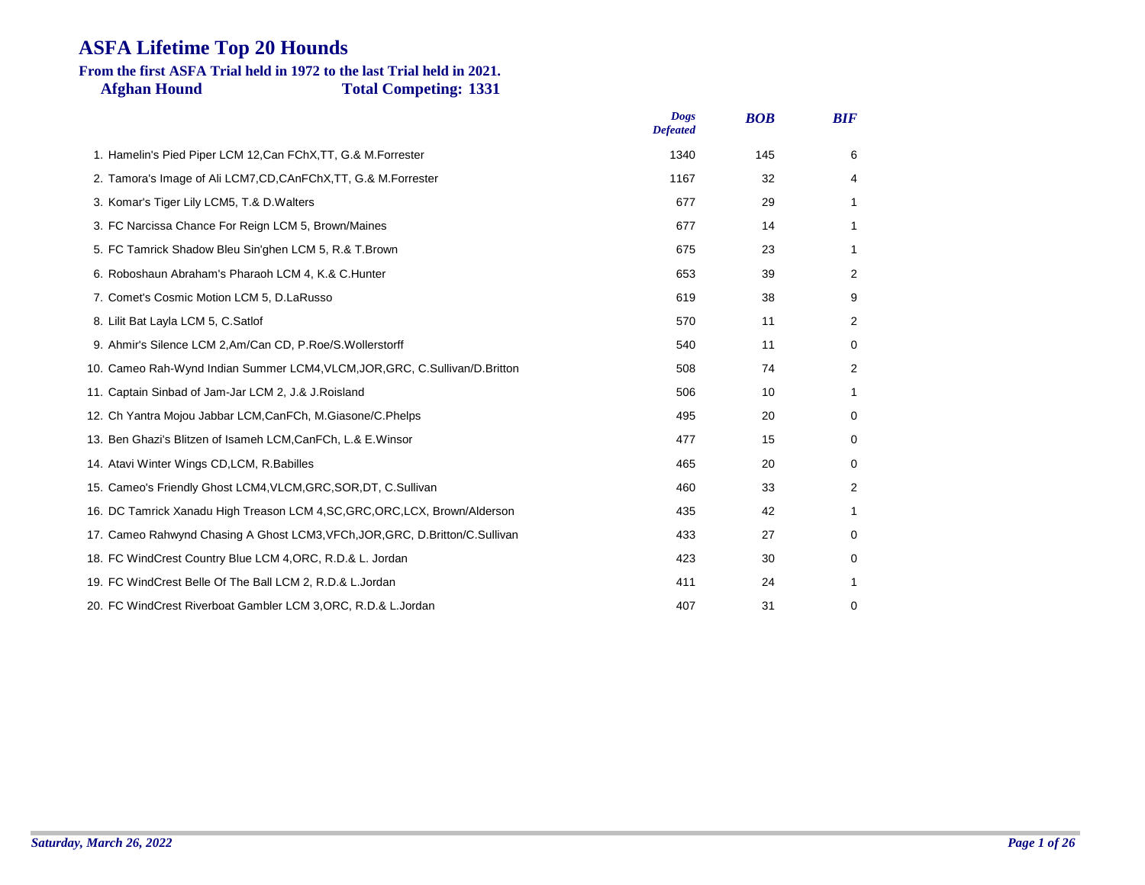### **Afghan Hound Total Competing: 1331 From the first ASFA Trial held in 1972 to the last Trial held in 2021.**

|                                                                                | <b>Dogs</b><br><b>Defeated</b> | <b>BOB</b> | <b>BIF</b> |
|--------------------------------------------------------------------------------|--------------------------------|------------|------------|
| 1. Hamelin's Pied Piper LCM 12, Can FChX, TT, G.& M. Forrester                 | 1340                           | 145        | 6          |
| 2. Tamora's Image of Ali LCM7, CD, CAnFChX, TT, G.& M. Forrester               | 1167                           | 32         | 4          |
| 3. Komar's Tiger Lily LCM5, T.& D. Walters                                     | 677                            | 29         | 1          |
| 3. FC Narcissa Chance For Reign LCM 5, Brown/Maines                            | 677                            | 14         | 1          |
| 5. FC Tamrick Shadow Bleu Sin'ghen LCM 5, R.& T.Brown                          | 675                            | 23         | 1          |
| 6. Roboshaun Abraham's Pharaoh LCM 4, K.& C. Hunter                            | 653                            | 39         | 2          |
| 7. Comet's Cosmic Motion LCM 5, D.LaRusso                                      | 619                            | 38         | 9          |
| 8. Lilit Bat Layla LCM 5, C.Satlof                                             | 570                            | 11         | 2          |
| 9. Ahmir's Silence LCM 2, Am/Can CD, P.Roe/S. Wollerstorff                     | 540                            | 11         | 0          |
| 10. Cameo Rah-Wynd Indian Summer LCM4, VLCM, JOR, GRC, C.Sullivan/D.Britton    | 508                            | 74         | 2          |
| 11. Captain Sinbad of Jam-Jar LCM 2, J.& J. Roisland                           | 506                            | 10         | 1          |
| 12. Ch Yantra Mojou Jabbar LCM, CanFCh, M. Giasone/C. Phelps                   | 495                            | 20         | 0          |
| 13. Ben Ghazi's Blitzen of Isameh LCM, CanFCh, L.& E. Winsor                   | 477                            | 15         | 0          |
| 14. Atavi Winter Wings CD, LCM, R. Babilles                                    | 465                            | 20         | 0          |
| 15. Cameo's Friendly Ghost LCM4, VLCM, GRC, SOR, DT, C. Sullivan               | 460                            | 33         | 2          |
| 16. DC Tamrick Xanadu High Treason LCM 4, SC, GRC, ORC, LCX, Brown/Alderson    | 435                            | 42         | 1          |
| 17. Cameo Rahwynd Chasing A Ghost LCM3, VFCh, JOR, GRC, D. Britton/C. Sullivan | 433                            | 27         | 0          |
| 18. FC WindCrest Country Blue LCM 4, ORC, R.D.& L. Jordan                      | 423                            | 30         | 0          |
| 19. FC WindCrest Belle Of The Ball LCM 2, R.D.& L.Jordan                       | 411                            | 24         | 1          |
| 20. FC WindCrest Riverboat Gambler LCM 3, ORC, R.D.& L. Jordan                 | 407                            | 31         | 0          |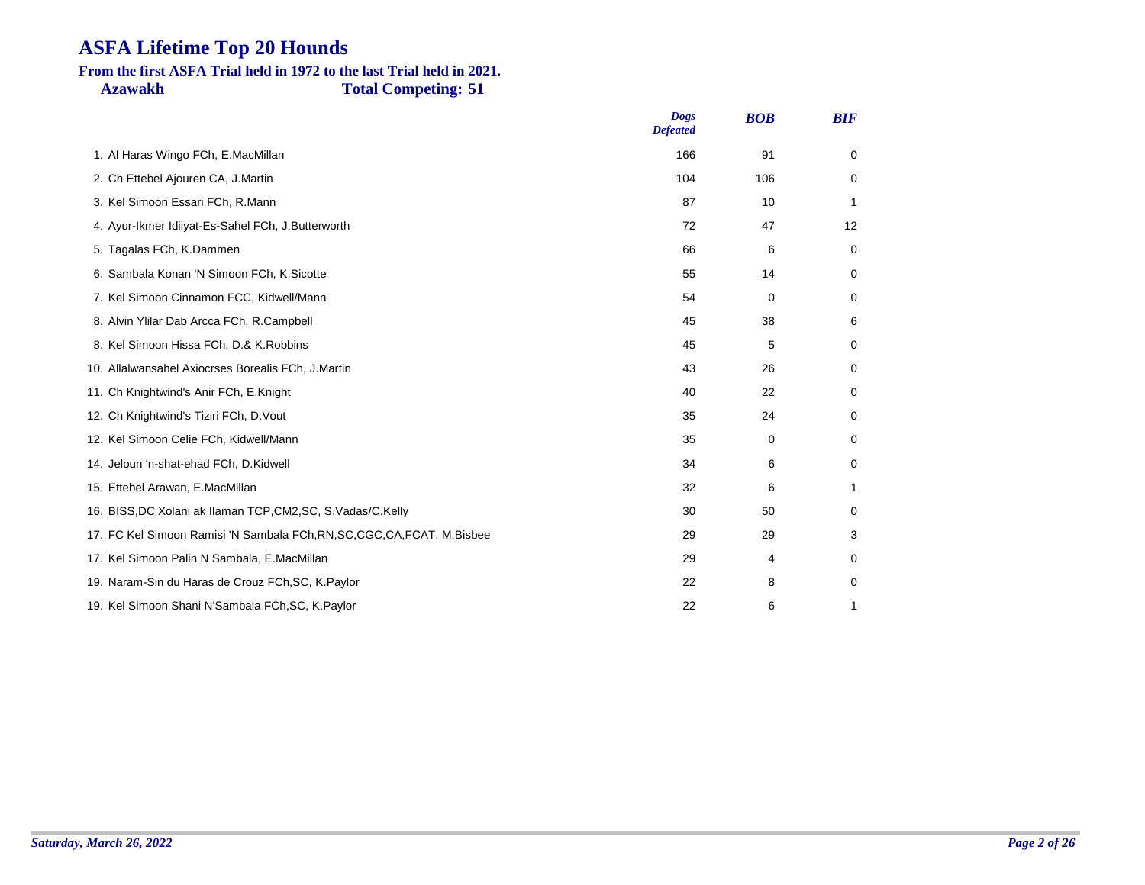#### **Azawakh Total Competing: 51 From the first ASFA Trial held in 1972 to the last Trial held in 2021.**

|                                                                           | <b>Dogs</b><br><b>Defeated</b> | <b>BOB</b> | <b>BIF</b> |
|---------------------------------------------------------------------------|--------------------------------|------------|------------|
| 1. Al Haras Wingo FCh, E.MacMillan                                        | 166                            | 91         | 0          |
| 2. Ch Ettebel Ajouren CA, J.Martin                                        | 104                            | 106        | 0          |
| 3. Kel Simoon Essari FCh, R.Mann                                          | 87                             | 10         | 1          |
| 4. Ayur-Ikmer Idiiyat-Es-Sahel FCh, J.Butterworth                         | 72                             | 47         | 12         |
| 5. Tagalas FCh, K.Dammen                                                  | 66                             | 6          | 0          |
| 6. Sambala Konan 'N Simoon FCh, K.Sicotte                                 | 55                             | 14         | 0          |
| 7. Kel Simoon Cinnamon FCC, Kidwell/Mann                                  | 54                             | $\Omega$   | 0          |
| 8. Alvin Ylilar Dab Arcca FCh, R.Campbell                                 | 45                             | 38         | 6          |
| 8. Kel Simoon Hissa FCh, D.& K.Robbins                                    | 45                             | 5          | 0          |
| 10. Allalwansahel Axiocrses Borealis FCh, J.Martin                        | 43                             | 26         | 0          |
| 11. Ch Knightwind's Anir FCh, E.Knight                                    | 40                             | 22         | 0          |
| 12. Ch Knightwind's Tiziri FCh, D. Vout                                   | 35                             | 24         | 0          |
| 12. Kel Simoon Celie FCh, Kidwell/Mann                                    | 35                             | 0          | 0          |
| 14. Jeloun 'n-shat-ehad FCh, D.Kidwell                                    | 34                             | 6          | 0          |
| 15. Ettebel Arawan, E.MacMillan                                           | 32                             | 6          | 1          |
| 16. BISS, DC Xolani ak Ilaman TCP, CM2, SC, S. Vadas/C. Kelly             | 30                             | 50         | 0          |
| 17. FC Kel Simoon Ramisi 'N Sambala FCh, RN, SC, CGC, CA, FCAT, M. Bisbee | 29                             | 29         | 3          |
| 17. Kel Simoon Palin N Sambala, E.MacMillan                               | 29                             | 4          | 0          |
| 19. Naram-Sin du Haras de Crouz FCh, SC, K. Paylor                        | 22                             | 8          | 0          |
| 19. Kel Simoon Shani N'Sambala FCh, SC, K. Paylor                         | 22                             | 6          | 1          |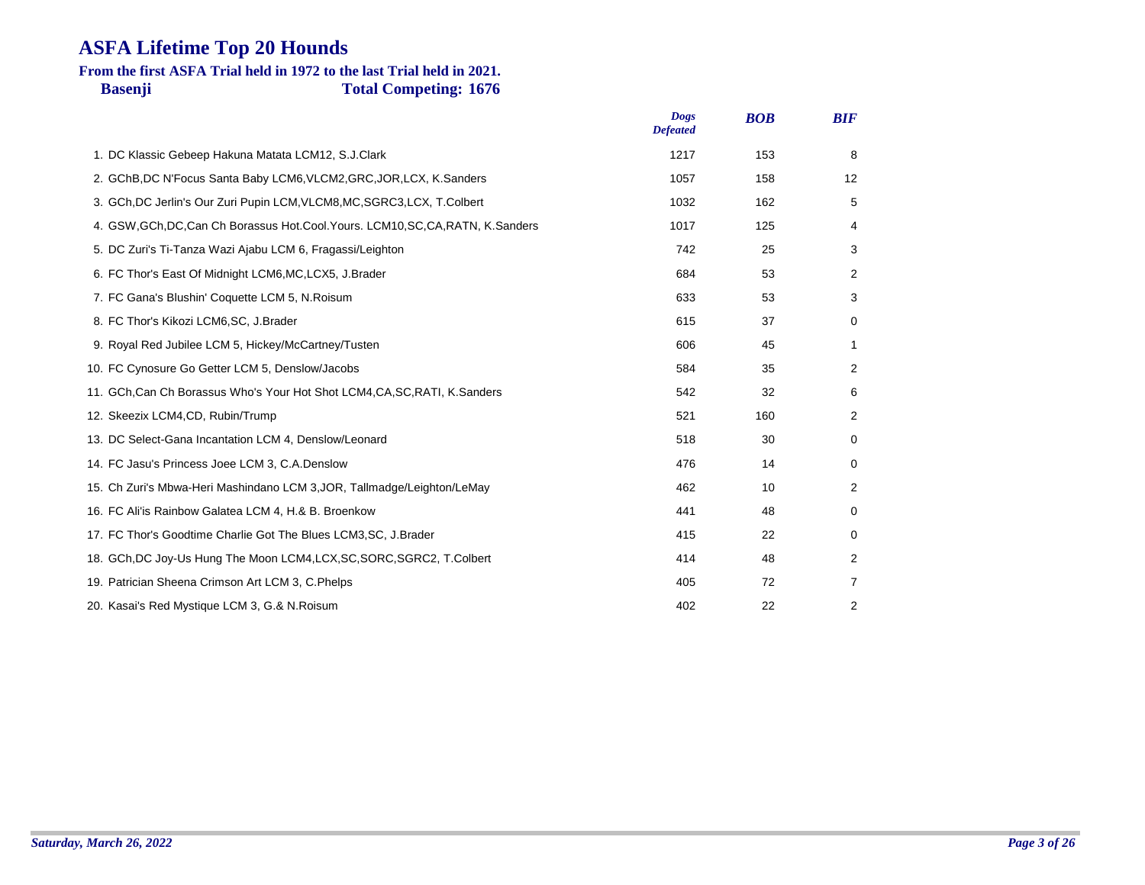### **Basenji Total Competing: 1676 From the first ASFA Trial held in 1972 to the last Trial held in 2021.**

|                                                                                    | <b>Dogs</b><br><b>Defeated</b> | <b>BOB</b> | <b>BIF</b>        |
|------------------------------------------------------------------------------------|--------------------------------|------------|-------------------|
| 1. DC Klassic Gebeep Hakuna Matata LCM12, S.J.Clark                                | 1217                           | 153        | 8                 |
| 2. GChB, DC N'Focus Santa Baby LCM6, VLCM2, GRC, JOR, LCX, K. Sanders              | 1057                           | 158        | $12 \overline{ }$ |
| 3. GCh, DC Jerlin's Our Zuri Pupin LCM, VLCM8, MC, SGRC3, LCX, T.Colbert           | 1032                           | 162        | 5                 |
| 4. GSW, GCh, DC, Can Ch Borassus Hot. Cool. Yours. LCM10, SC, CA, RATN, K. Sanders | 1017                           | 125        | 4                 |
| 5. DC Zuri's Ti-Tanza Wazi Ajabu LCM 6, Fragassi/Leighton                          | 742                            | 25         | 3                 |
| 6. FC Thor's East Of Midnight LCM6, MC, LCX5, J. Brader                            | 684                            | 53         | 2                 |
| 7. FC Gana's Blushin' Coquette LCM 5, N.Roisum                                     | 633                            | 53         | 3                 |
| 8. FC Thor's Kikozi LCM6, SC, J.Brader                                             | 615                            | 37         | 0                 |
| 9. Royal Red Jubilee LCM 5, Hickey/McCartney/Tusten                                | 606                            | 45         | 1                 |
| 10. FC Cynosure Go Getter LCM 5, Denslow/Jacobs                                    | 584                            | 35         | 2                 |
| 11. GCh.Can Ch Borassus Who's Your Hot Shot LCM4,CA,SC,RATI, K.Sanders             | 542                            | 32         | 6                 |
| 12. Skeezix LCM4, CD, Rubin/Trump                                                  | 521                            | 160        | 2                 |
| 13. DC Select-Gana Incantation LCM 4, Denslow/Leonard                              | 518                            | 30         | 0                 |
| 14. FC Jasu's Princess Joee LCM 3, C.A.Denslow                                     | 476                            | 14         | 0                 |
| 15. Ch Zuri's Mbwa-Heri Mashindano LCM 3, JOR, Tallmadge/Leighton/LeMay            | 462                            | 10         | 2                 |
| 16. FC Ali'is Rainbow Galatea LCM 4, H.& B. Broenkow                               | 441                            | 48         | 0                 |
| 17. FC Thor's Goodtime Charlie Got The Blues LCM3, SC, J. Brader                   | 415                            | 22         | 0                 |
| 18. GCh, DC Joy-Us Hung The Moon LCM4, LCX, SC, SORC, SGRC2, T. Colbert            | 414                            | 48         | 2                 |
| 19. Patrician Sheena Crimson Art LCM 3, C.Phelps                                   | 405                            | 72         | 7                 |
| 20. Kasai's Red Mystique LCM 3, G.& N. Roisum                                      | 402                            | 22         | 2                 |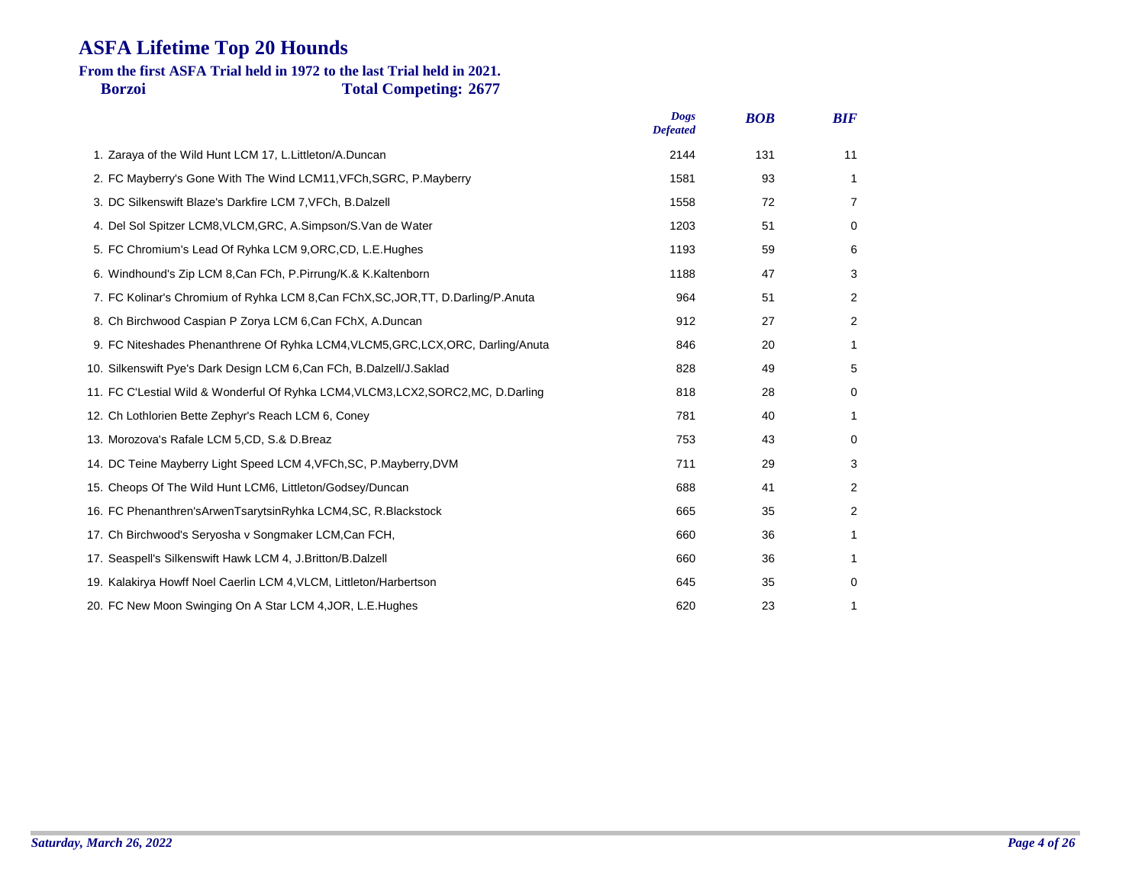### **Borzoi Total Competing: 2677 From the first ASFA Trial held in 1972 to the last Trial held in 2021.**

| <b>Dogs</b><br><b>Defeated</b> | <b>BOB</b> | <b>BIF</b>     |
|--------------------------------|------------|----------------|
| 2144                           | 131        | 11             |
| 1581                           | 93         | 1              |
| 1558                           | 72         | 7              |
| 1203                           | 51         | 0              |
| 1193                           | 59         | 6              |
| 1188                           | 47         | 3              |
| 964                            | 51         | $\overline{2}$ |
| 912                            | 27         | 2              |
| 846                            | 20         | 1              |
| 828                            | 49         | 5              |
| 818                            | 28         | 0              |
| 781                            | 40         | 1              |
| 753                            | 43         | 0              |
| 711                            | 29         | 3              |
| 688                            | 41         | 2              |
| 665                            | 35         | $\overline{2}$ |
| 660                            | 36         | 1              |
| 660                            | 36         | 1              |
| 645                            | 35         | 0              |
| 620                            | 23         | 1              |
|                                |            |                |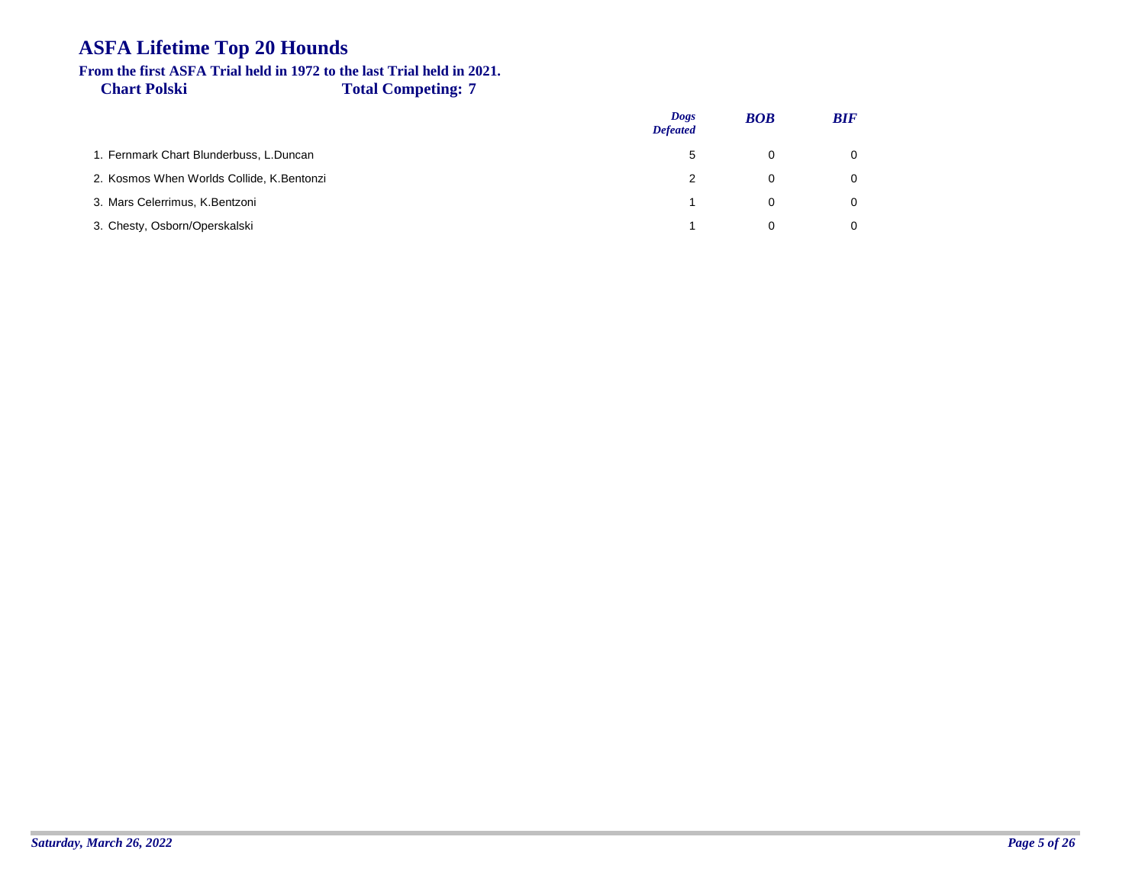#### **Chart Polski Total Competing: 7 From the first ASFA Trial held in 1972 to the last Trial held in 2021.**

|                                           | <b>Dogs</b><br><b>Defeated</b> | <b>BOB</b> | <b>BIF</b>     |
|-------------------------------------------|--------------------------------|------------|----------------|
| 1. Fernmark Chart Blunderbuss, L.Duncan   | 5                              |            | $\overline{0}$ |
| 2. Kosmos When Worlds Collide, K.Bentonzi |                                | U          | $\Omega$       |
| 3. Mars Celerrimus, K.Bentzoni            |                                | 0          | $\Omega$       |
| 3. Chesty, Osborn/Operskalski             |                                |            | $\Omega$       |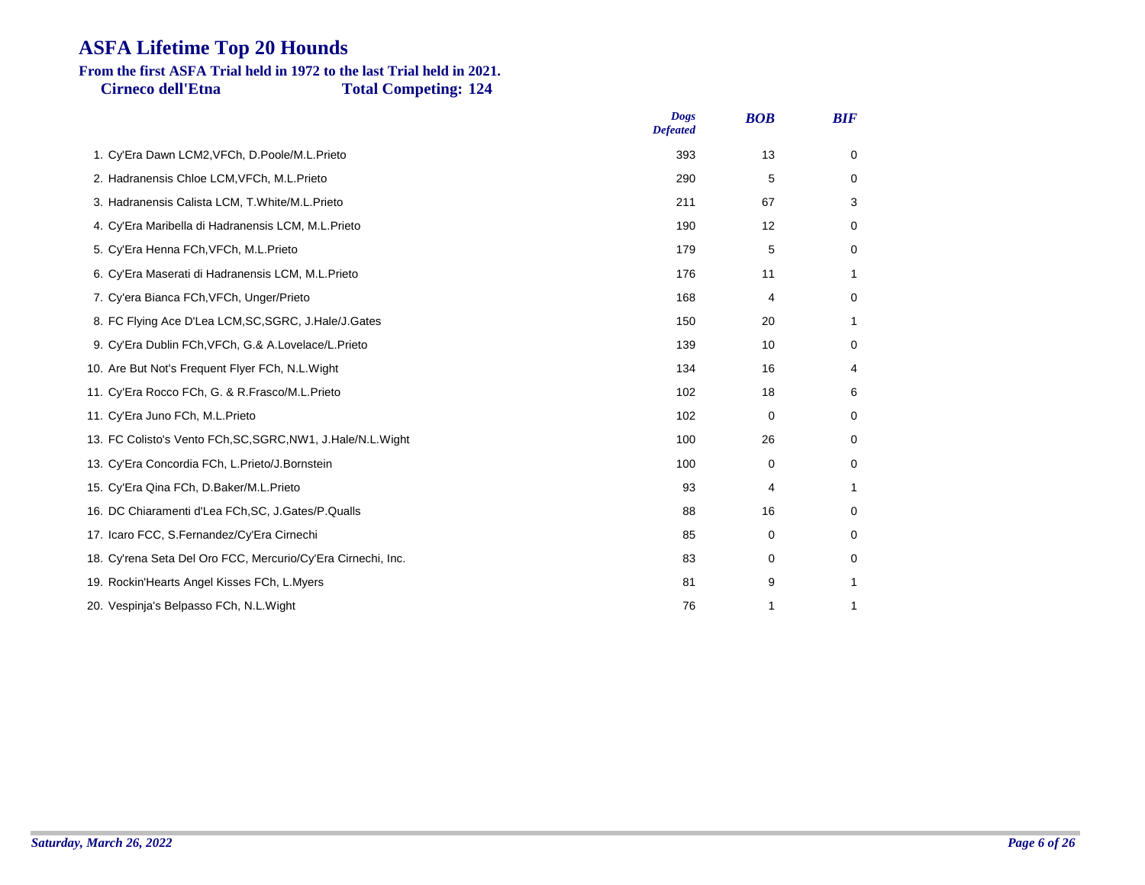# **From the first ASFA Trial held in 1972 to the last Trial held in 2021.**

**Cirneco dell'Etna Total Competing: 124**

|                                                               | <b>Dogs</b><br><b>Defeated</b> | <b>BOB</b> | <b>BIF</b>  |
|---------------------------------------------------------------|--------------------------------|------------|-------------|
| 1. Cy'Era Dawn LCM2, VFCh, D.Poole/M.L.Prieto                 | 393                            | 13         | 0           |
| 2. Hadranensis Chloe LCM, VFCh, M.L. Prieto                   | 290                            | 5          | 0           |
| 3. Hadranensis Calista LCM, T.White/M.L.Prieto                | 211                            | 67         | 3           |
| 4. Cy'Era Maribella di Hadranensis LCM, M.L.Prieto            | 190                            | 12         | 0           |
| 5. Cy'Era Henna FCh, VFCh, M.L. Prieto                        | 179                            | 5          | 0           |
| 6. Cy'Era Maserati di Hadranensis LCM, M.L.Prieto             | 176                            | 11         | 1           |
| 7. Cy'era Bianca FCh, VFCh, Unger/Prieto                      | 168                            | 4          | $\mathbf 0$ |
| 8. FC Flying Ace D'Lea LCM, SC, SGRC, J. Hale/J. Gates        | 150                            | 20         | 1           |
| 9. Cy'Era Dublin FCh, VFCh, G.& A.Lovelace/L.Prieto           | 139                            | 10         | $\mathbf 0$ |
| 10. Are But Not's Frequent Flyer FCh, N.L. Wight              | 134                            | 16         | 4           |
| 11. Cy'Era Rocco FCh, G. & R.Frasco/M.L.Prieto                | 102                            | 18         | 6           |
| 11. Cy'Era Juno FCh, M.L.Prieto                               | 102                            | 0          | 0           |
| 13. FC Colisto's Vento FCh, SC, SGRC, NW1, J. Hale/N.L. Wight | 100                            | 26         | 0           |
| 13. Cy'Era Concordia FCh, L.Prieto/J.Bornstein                | 100                            | 0          | 0           |
| 15. Cy'Era Qina FCh, D.Baker/M.L.Prieto                       | 93                             | 4          | 1           |
| 16. DC Chiaramenti d'Lea FCh, SC, J. Gates/P. Qualls          | 88                             | 16         | 0           |
| 17. Icaro FCC, S.Fernandez/Cy'Era Cirnechi                    | 85                             | 0          | 0           |
| 18. Cy'rena Seta Del Oro FCC, Mercurio/Cy'Era Cirnechi, Inc.  | 83                             | 0          | 0           |
| 19. Rockin'Hearts Angel Kisses FCh, L.Myers                   | 81                             | 9          | 1           |
| 20. Vespinja's Belpasso FCh, N.L. Wight                       | 76                             | 1          | 1           |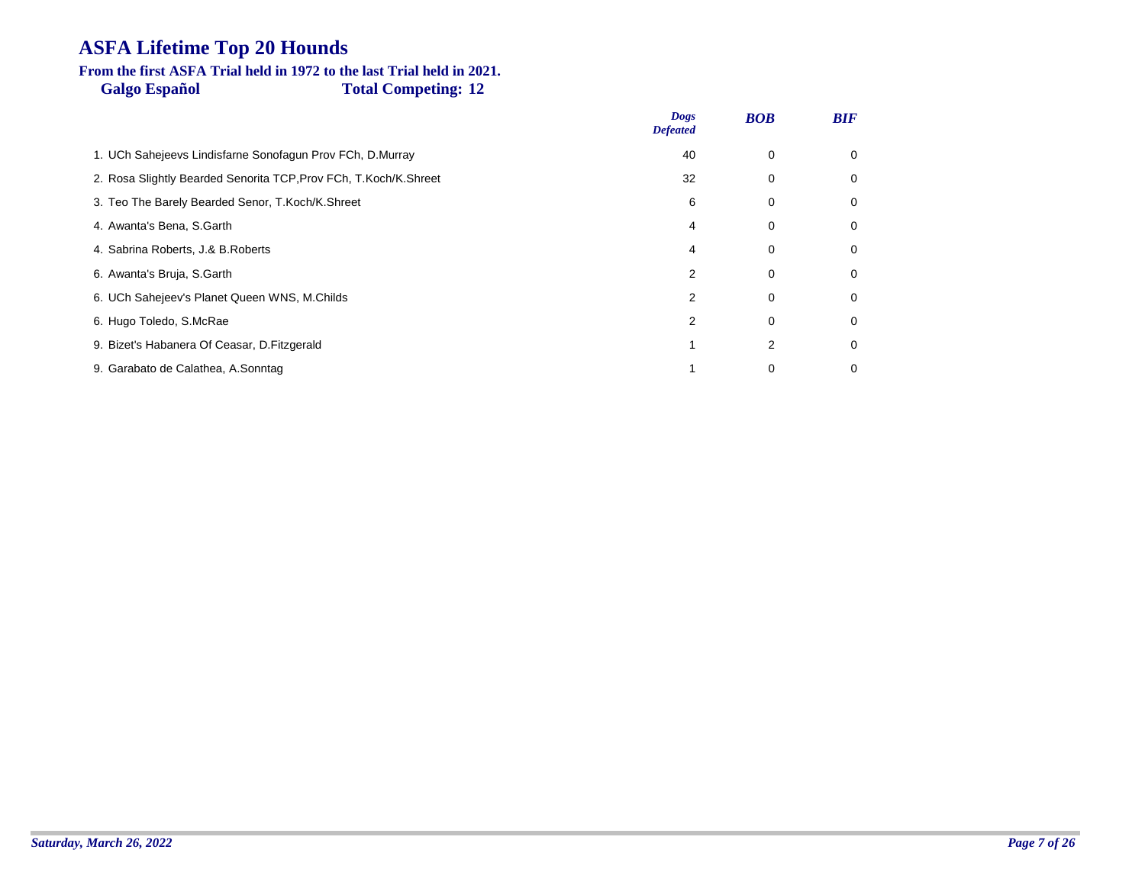#### **Galgo Español Total Competing: 12 From the first ASFA Trial held in 1972 to the last Trial held in 2021.**

|                                                                  | <b>Dogs</b><br><b>Defeated</b> | <b>BOB</b> | <b>BIF</b> |
|------------------------------------------------------------------|--------------------------------|------------|------------|
| 1. UCh Sahejeevs Lindisfarne Sonofagun Prov FCh, D.Murray        | 40                             | 0          | 0          |
| 2. Rosa Slightly Bearded Senorita TCP, Prov FCh, T.Koch/K.Shreet | 32                             | 0          | 0          |
| 3. Teo The Barely Bearded Senor, T.Koch/K.Shreet                 | 6                              | 0          | 0          |
| 4. Awanta's Bena, S.Garth                                        | 4                              | 0          | 0          |
| 4. Sabrina Roberts, J.& B.Roberts                                | 4                              | 0          | 0          |
| 6. Awanta's Bruja, S.Garth                                       | 2                              | 0          | 0          |
| 6. UCh Sahejeev's Planet Queen WNS, M.Childs                     | 2                              | 0          | 0          |
| 6. Hugo Toledo, S.McRae                                          |                                | $\Omega$   | 0          |
| 9. Bizet's Habanera Of Ceasar, D. Fitzgerald                     |                                | 2          | 0          |
| 9. Garabato de Calathea, A.Sonntag                               |                                | 0          | 0          |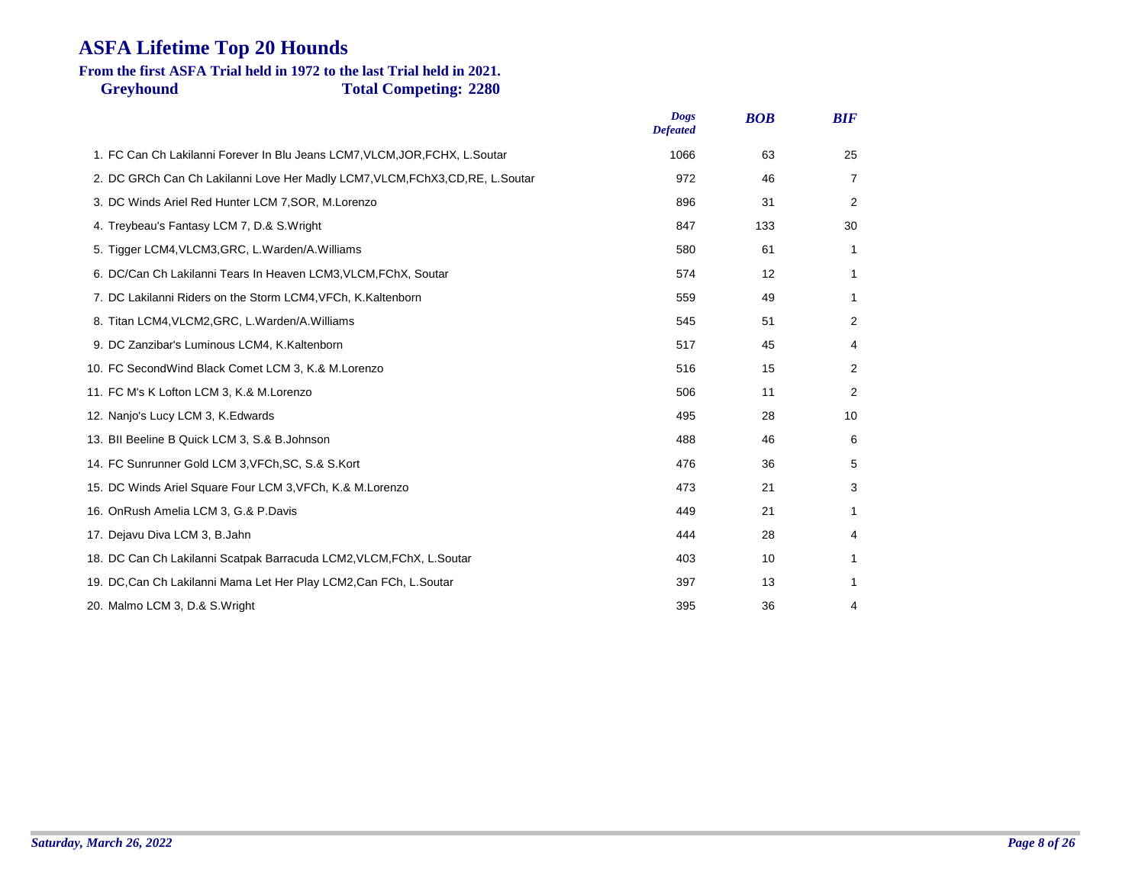### **Greyhound Total Competing: 2280 From the first ASFA Trial held in 1972 to the last Trial held in 2021.**

|                                                                                | <b>Dogs</b><br><b>Defeated</b> | <b>BOB</b> | <b>BIF</b>   |
|--------------------------------------------------------------------------------|--------------------------------|------------|--------------|
| 1. FC Can Ch Lakilanni Forever In Blu Jeans LCM7, VLCM, JOR, FCHX, L.Soutar    | 1066                           | 63         | 25           |
| 2. DC GRCh Can Ch Lakilanni Love Her Madly LCM7, VLCM, FChX3, CD, RE, L.Soutar | 972                            | 46         | 7            |
| 3. DC Winds Ariel Red Hunter LCM 7, SOR, M.Lorenzo                             | 896                            | 31         | 2            |
| 4. Treybeau's Fantasy LCM 7, D.& S. Wright                                     | 847                            | 133        | 30           |
| 5. Tigger LCM4, VLCM3, GRC, L. Warden/A. Williams                              | 580                            | 61         | 1            |
| 6. DC/Can Ch Lakilanni Tears In Heaven LCM3, VLCM, FChX, Soutar                | 574                            | 12         | 1            |
| 7. DC Lakilanni Riders on the Storm LCM4, VFCh, K.Kaltenborn                   | 559                            | 49         | 1            |
| 8. Titan LCM4, VLCM2, GRC, L. Warden/A. Williams                               | 545                            | 51         | 2            |
| 9. DC Zanzibar's Luminous LCM4, K.Kaltenborn                                   | 517                            | 45         | 4            |
| 10. FC Second Wind Black Comet LCM 3, K.& M. Lorenzo                           | 516                            | 15         | 2            |
| 11. FC M's K Lofton LCM 3, K.& M.Lorenzo                                       | 506                            | 11         | 2            |
| 12. Nanjo's Lucy LCM 3, K. Edwards                                             | 495                            | 28         | 10           |
| 13. BII Beeline B Quick LCM 3, S.& B. Johnson                                  | 488                            | 46         | 6            |
| 14. FC Sunrunner Gold LCM 3, VFCh, SC, S.& S.Kort                              | 476                            | 36         | 5            |
| 15. DC Winds Ariel Square Four LCM 3, VFCh, K.& M. Lorenzo                     | 473                            | 21         | 3            |
| 16. OnRush Amelia LCM 3, G.& P.Davis                                           | 449                            | 21         | $\mathbf{1}$ |
| 17. Dejavu Diva LCM 3, B.Jahn                                                  | 444                            | 28         | 4            |
| 18. DC Can Ch Lakilanni Scatpak Barracuda LCM2, VLCM, FChX, L.Soutar           | 403                            | 10         | 1            |
| 19. DC, Can Ch Lakilanni Mama Let Her Play LCM2, Can FCh, L. Soutar            | 397                            | 13         | 1            |
| 20. Malmo LCM 3, D.& S.Wright                                                  | 395                            | 36         | 4            |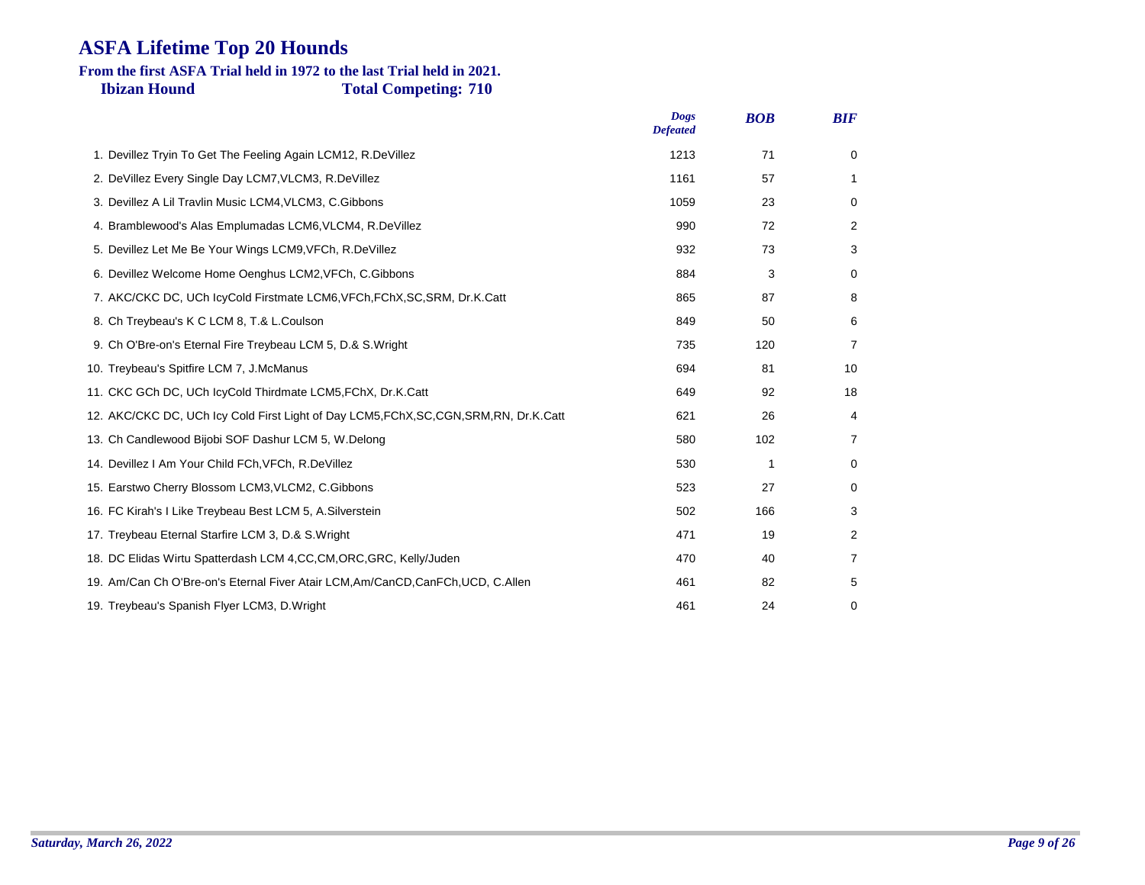#### **Ibizan Hound Total Competing: 710 From the first ASFA Trial held in 1972 to the last Trial held in 2021.**

| <b>Dogs</b><br><b>Defeated</b> | <b>BOB</b> | <b>BIF</b> |
|--------------------------------|------------|------------|
| 1213                           | 71         | 0          |
| 1161                           | 57         | 1          |
| 1059                           | 23         | 0          |
| 990                            | 72         | 2          |
| 932                            | 73         | 3          |
| 884                            | 3          | 0          |
| 865                            | 87         | 8          |
| 849                            | 50         | 6          |
| 735                            | 120        | 7          |
| 694                            | 81         | 10         |
| 649                            | 92         | 18         |
| 621                            | 26         | 4          |
| 580                            | 102        | 7          |
| 530                            | 1          | 0          |
| 523                            | 27         | 0          |
| 502                            | 166        | 3          |
| 471                            | 19         | 2          |
| 470                            | 40         | 7          |
| 461                            | 82         | 5          |
| 461                            | 24         | 0          |
|                                |            |            |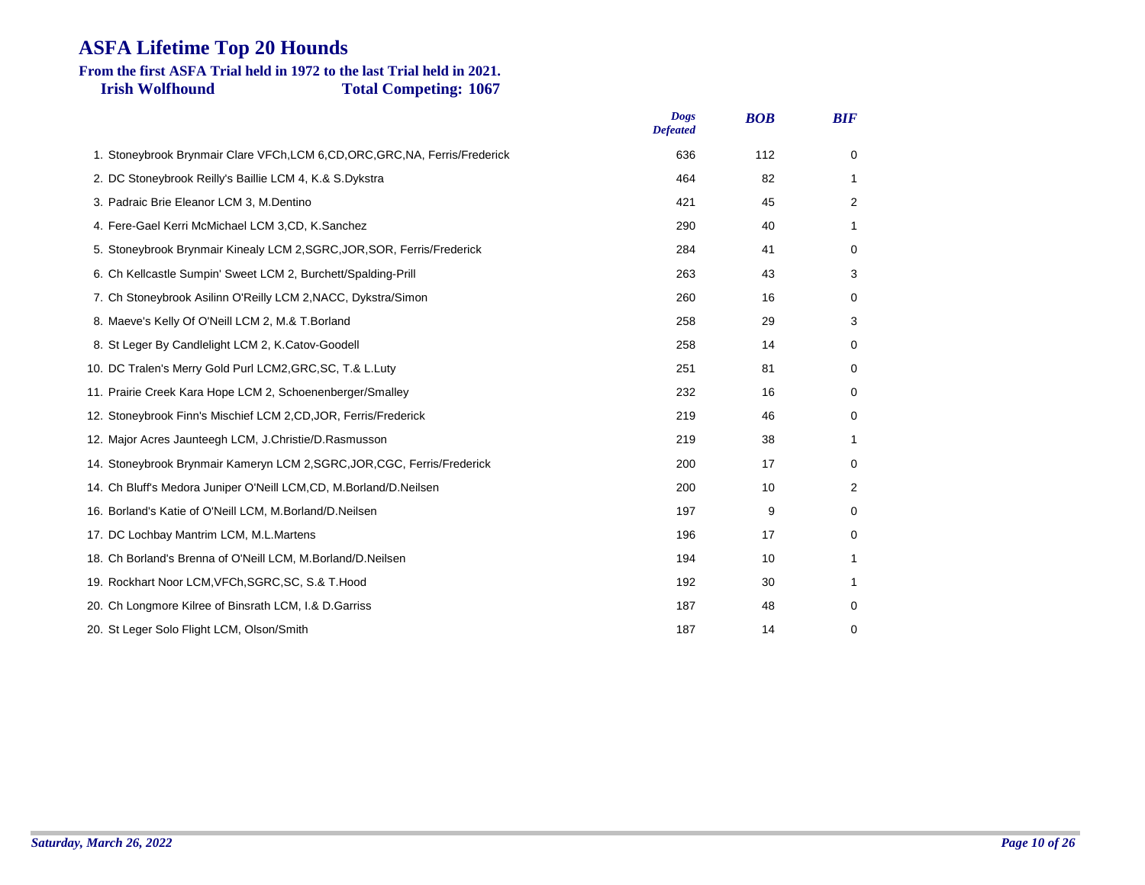#### **Irish Wolfhound Total Competing: 1067 From the first ASFA Trial held in 1972 to the last Trial held in 2021.**

|                                                                               | <b>Dogs</b><br><b>Defeated</b> | <b>BOB</b> | <b>BIF</b>  |
|-------------------------------------------------------------------------------|--------------------------------|------------|-------------|
| 1. Stoneybrook Brynmair Clare VFCh, LCM 6, CD, ORC, GRC, NA, Ferris/Frederick | 636                            | 112        | $\mathbf 0$ |
| 2. DC Stoneybrook Reilly's Baillie LCM 4, K.& S.Dykstra                       | 464                            | 82         | 1           |
| 3. Padraic Brie Eleanor LCM 3, M.Dentino                                      | 421                            | 45         | 2           |
| 4. Fere-Gael Kerri McMichael LCM 3,CD, K.Sanchez                              | 290                            | 40         | 1           |
| 5. Stoneybrook Brynmair Kinealy LCM 2, SGRC, JOR, SOR, Ferris/Frederick       | 284                            | 41         | 0           |
| 6. Ch Kellcastle Sumpin' Sweet LCM 2, Burchett/Spalding-Prill                 | 263                            | 43         | 3           |
| 7. Ch Stoneybrook Asilinn O'Reilly LCM 2, NACC, Dykstra/Simon                 | 260                            | 16         | 0           |
| 8. Maeve's Kelly Of O'Neill LCM 2, M.& T. Borland                             | 258                            | 29         | 3           |
| 8. St Leger By Candlelight LCM 2, K.Catov-Goodell                             | 258                            | 14         | 0           |
| 10. DC Tralen's Merry Gold Purl LCM2, GRC, SC, T.& L.Luty                     | 251                            | 81         | 0           |
| 11. Prairie Creek Kara Hope LCM 2, Schoenenberger/Smalley                     | 232                            | 16         | 0           |
| 12. Stoneybrook Finn's Mischief LCM 2, CD, JOR, Ferris/Frederick              | 219                            | 46         | 0           |
| 12. Major Acres Jaunteegh LCM, J.Christie/D.Rasmusson                         | 219                            | 38         | 1           |
| 14. Stoneybrook Brynmair Kameryn LCM 2, SGRC, JOR, CGC, Ferris/Frederick      | 200                            | 17         | 0           |
| 14. Ch Bluff's Medora Juniper O'Neill LCM, CD, M.Borland/D.Neilsen            | 200                            | 10         | 2           |
| 16. Borland's Katie of O'Neill LCM, M.Borland/D.Neilsen                       | 197                            | 9          | 0           |
| 17. DC Lochbay Mantrim LCM, M.L.Martens                                       | 196                            | 17         | 0           |
| 18. Ch Borland's Brenna of O'Neill LCM, M.Borland/D.Neilsen                   | 194                            | 10         | 1           |
| 19. Rockhart Noor LCM, VFCh, SGRC, SC, S.& T. Hood                            | 192                            | 30         | 1           |
| 20. Ch Longmore Kilree of Binsrath LCM, I.& D. Garriss                        | 187                            | 48         | 0           |
| 20. St Leger Solo Flight LCM, Olson/Smith                                     | 187                            | 14         | 0           |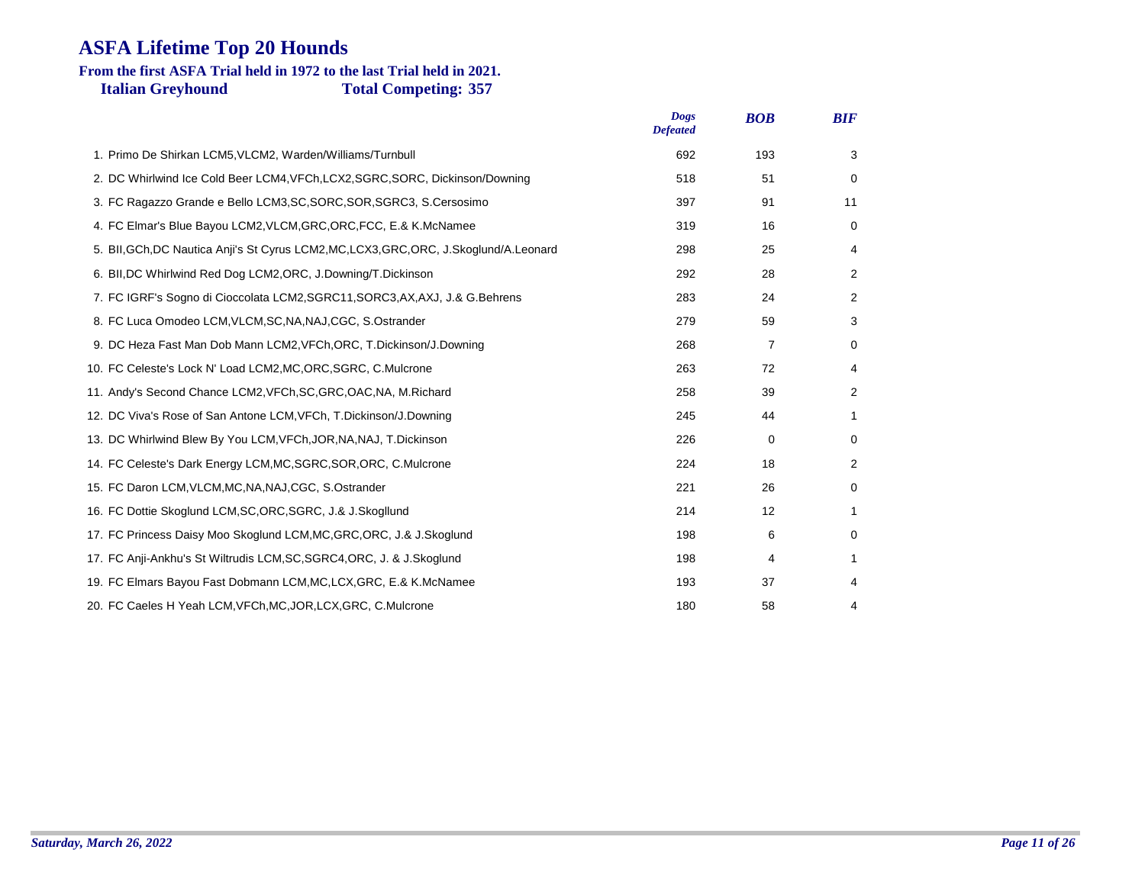#### **Italian Greyhound Total Competing: 357 From the first ASFA Trial held in 1972 to the last Trial held in 2021.**

|                                                                                          | <b>Dogs</b><br><b>Defeated</b> | <b>BOB</b> | <b>BIF</b>     |
|------------------------------------------------------------------------------------------|--------------------------------|------------|----------------|
| 1. Primo De Shirkan LCM5, VLCM2, Warden/Williams/Turnbull                                | 692                            | 193        | 3              |
| 2. DC Whirlwind Ice Cold Beer LCM4, VFCh, LCX2, SGRC, SORC, Dickinson/Downing            | 518                            | 51         | 0              |
| 3. FC Ragazzo Grande e Bello LCM3, SC, SORC, SOR, SGRC3, S. Cersosimo                    | 397                            | 91         | 11             |
| 4. FC Elmar's Blue Bayou LCM2, VLCM, GRC, ORC, FCC, E.& K. McNamee                       | 319                            | 16         | 0              |
| 5. BII, GCh, DC Nautica Anji's St Cyrus LCM2, MC, LCX3, GRC, ORC, J. Skoglund/A. Leonard | 298                            | 25         | 4              |
| 6. BII, DC Whirlwind Red Dog LCM2, ORC, J. Downing/T. Dickinson                          | 292                            | 28         | $\overline{2}$ |
| 7. FC IGRF's Sogno di Cioccolata LCM2, SGRC11, SORC3, AX, AXJ, J.& G. Behrens            | 283                            | 24         | 2              |
| 8. FC Luca Omodeo LCM, VLCM, SC, NA, NAJ, CGC, S. Ostrander                              | 279                            | 59         | 3              |
| 9. DC Heza Fast Man Dob Mann LCM2, VFCh, ORC, T. Dickinson/J. Downing                    | 268                            | 7          | 0              |
| 10. FC Celeste's Lock N' Load LCM2, MC, ORC, SGRC, C. Mulcrone                           | 263                            | 72         | 4              |
| 11. Andy's Second Chance LCM2, VFCh, SC, GRC, OAC, NA, M. Richard                        | 258                            | 39         | 2              |
| 12. DC Viva's Rose of San Antone LCM, VFCh, T. Dickinson/J. Downing                      | 245                            | 44         | $\mathbf{1}$   |
| 13. DC Whirlwind Blew By You LCM, VFCh, JOR, NA, NAJ, T. Dickinson                       | 226                            | 0          | 0              |
| 14. FC Celeste's Dark Energy LCM, MC, SGRC, SOR, ORC, C. Mulcrone                        | 224                            | 18         | 2              |
| 15. FC Daron LCM, VLCM, MC, NA, NAJ, CGC, S. Ostrander                                   | 221                            | 26         | 0              |
| 16. FC Dottie Skoglund LCM, SC, ORC, SGRC, J.& J. Skogllund                              | 214                            | 12         | 1              |
| 17. FC Princess Daisy Moo Skoglund LCM, MC, GRC, ORC, J.& J. Skoglund                    | 198                            | 6          | 0              |
| 17. FC Anji-Ankhu's St Wiltrudis LCM, SC, SGRC4, ORC, J. & J. Skoglund                   | 198                            | 4          | 1              |
| 19. FC Elmars Bayou Fast Dobmann LCM, MC, LCX, GRC, E.& K. McNamee                       | 193                            | 37         | 4              |
| 20. FC Caeles H Yeah LCM, VFCh, MC, JOR, LCX, GRC, C. Mulcrone                           | 180                            | 58         | 4              |
|                                                                                          |                                |            |                |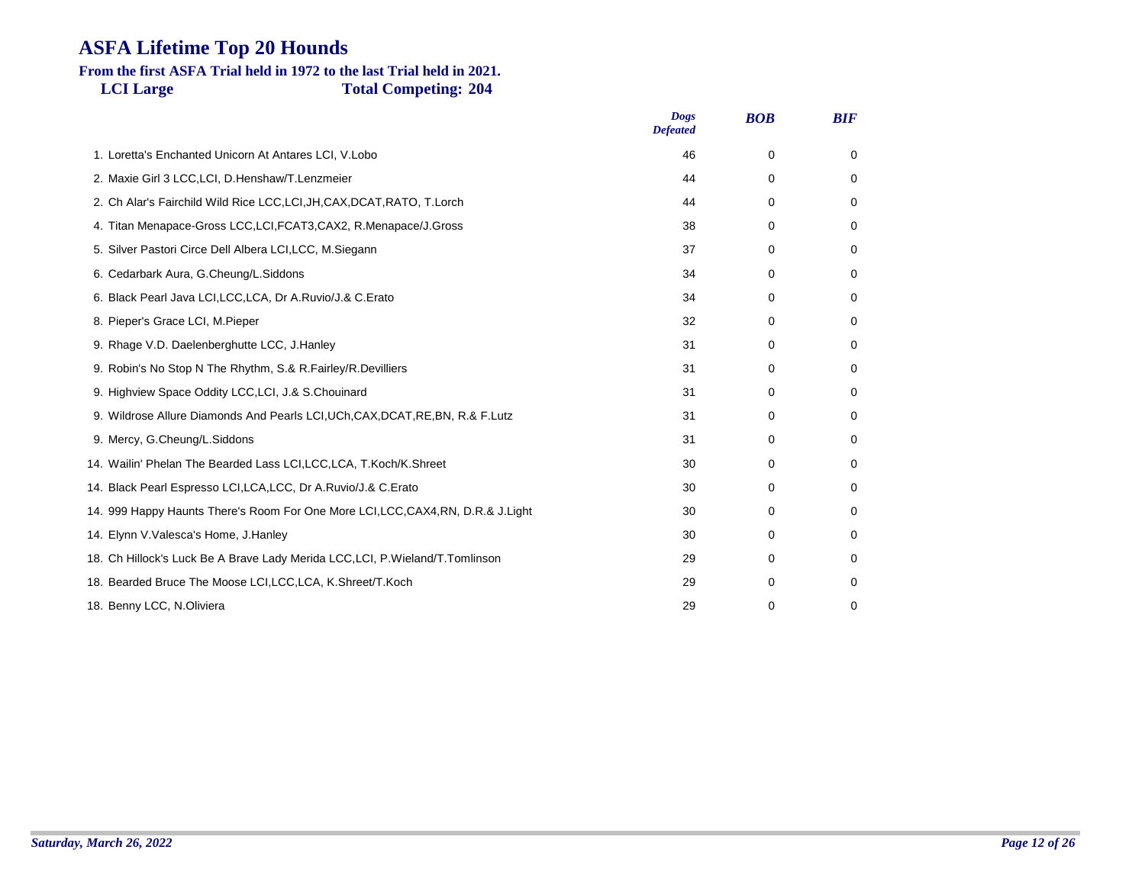#### **LCI Large Total Competing: 204 From the first ASFA Trial held in 1972 to the last Trial held in 2021.**

|                                                                                   | <b>Dogs</b><br><b>Defeated</b> | <b>BOB</b>  | <b>BIF</b>  |
|-----------------------------------------------------------------------------------|--------------------------------|-------------|-------------|
| 1. Loretta's Enchanted Unicorn At Antares LCI, V.Lobo                             | 46                             | 0           | 0           |
| 2. Maxie Girl 3 LCC, LCI, D. Henshaw/T. Lenzmeier                                 | 44                             | $\Omega$    | $\mathbf 0$ |
| 2. Ch Alar's Fairchild Wild Rice LCC, LCI, JH, CAX, DCAT, RATO, T. Lorch          | 44                             | 0           | 0           |
| 4. Titan Menapace-Gross LCC, LCI, FCAT3, CAX2, R. Menapace/J. Gross               | 38                             | $\Omega$    | 0           |
| 5. Silver Pastori Circe Dell Albera LCI, LCC, M. Siegann                          | 37                             | 0           | 0           |
| 6. Cedarbark Aura, G.Cheung/L.Siddons                                             | 34                             | $\Omega$    | 0           |
| 6. Black Pearl Java LCI, LCC, LCA, Dr A. Ruvio/J.& C. Erato                       | 34                             | 0           | 0           |
| 8. Pieper's Grace LCI, M.Pieper                                                   | 32                             | 0           | 0           |
| 9. Rhage V.D. Daelenberghutte LCC, J.Hanley                                       | 31                             | 0           | 0           |
| 9. Robin's No Stop N The Rhythm, S.& R. Fairley/R. Devilliers                     | 31                             | 0           | 0           |
| 9. Highview Space Oddity LCC, LCI, J.& S.Chouinard                                | 31                             | 0           | 0           |
| 9. Wildrose Allure Diamonds And Pearls LCI, UCh, CAX, DCAT, RE, BN, R.& F. Lutz   | 31                             | 0           | 0           |
| 9. Mercy, G.Cheung/L.Siddons                                                      | 31                             | $\Omega$    | 0           |
| 14. Wailin' Phelan The Bearded Lass LCI, LCC, LCA, T. Koch/K. Shreet              | 30                             | $\Omega$    | $\Omega$    |
| 14. Black Pearl Espresso LCI, LCA, LCC, Dr A. Ruvio/J.& C. Erato                  | 30                             | $\Omega$    | $\Omega$    |
| 14. 999 Happy Haunts There's Room For One More LCI, LCC, CAX4, RN, D.R.& J. Light | 30                             | 0           | $\Omega$    |
| 14. Elynn V. Valesca's Home, J. Hanley                                            | 30                             | 0           | 0           |
| 18. Ch Hillock's Luck Be A Brave Lady Merida LCC, LCI, P. Wieland/T. Tomlinson    | 29                             | 0           | 0           |
| 18. Bearded Bruce The Moose LCI, LCC, LCA, K. Shreet/T. Koch                      | 29                             | $\Omega$    | $\Omega$    |
| 18. Benny LCC, N.Oliviera                                                         | 29                             | $\mathbf 0$ | 0           |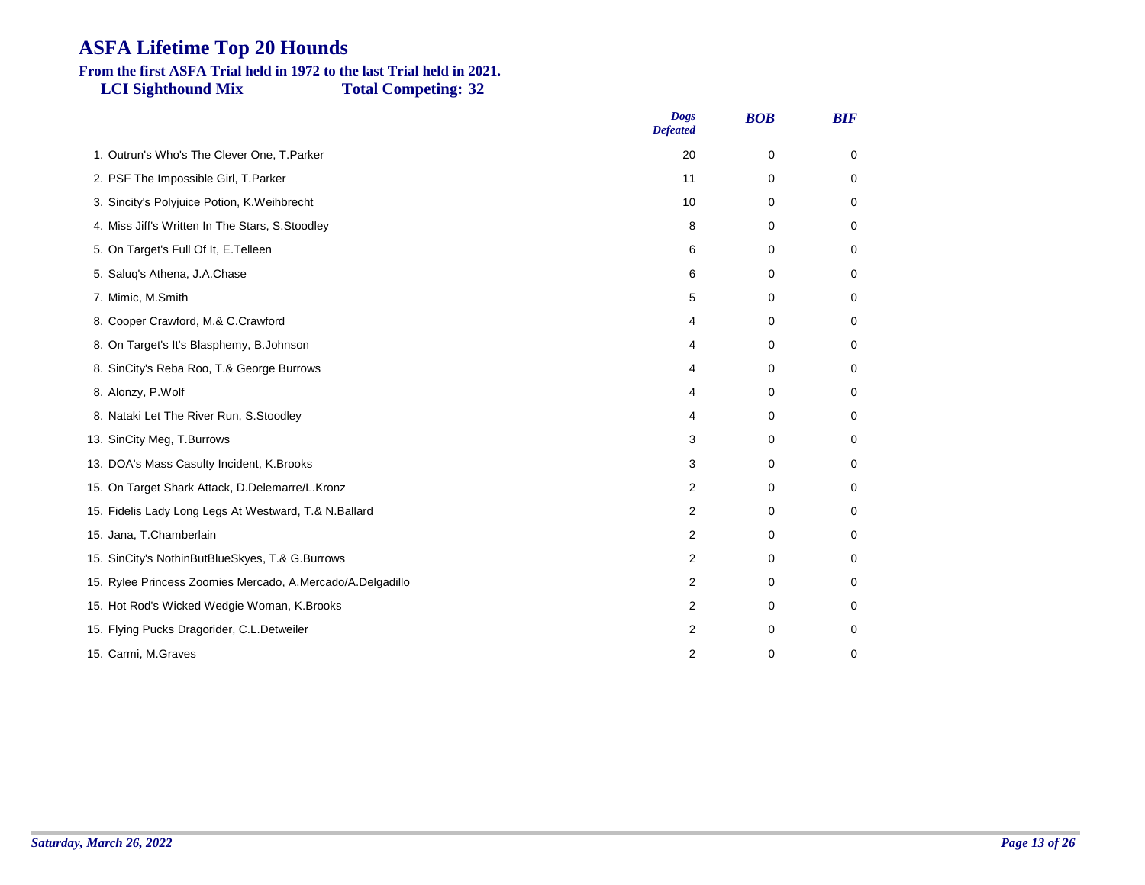### **From the first ASFA Trial held in 1972 to the last Trial held in 2021.**

**LCI Sighthound Mix Total Competing: 32**

|                                                            | <b>Dogs</b><br><b>Defeated</b> | <b>BOB</b> | <b>BIF</b>  |
|------------------------------------------------------------|--------------------------------|------------|-------------|
| 1. Outrun's Who's The Clever One, T.Parker                 | 20                             | 0          | 0           |
| 2. PSF The Impossible Girl, T.Parker                       | 11                             | 0          | $\mathbf 0$ |
| 3. Sincity's Polyjuice Potion, K. Weihbrecht               | 10                             | 0          | 0           |
| 4. Miss Jiff's Written In The Stars, S. Stoodley           | 8                              | 0          | 0           |
| 5. On Target's Full Of It, E. Telleen                      | 6                              | 0          | 0           |
| 5. Saluq's Athena, J.A.Chase                               | 6                              | 0          | 0           |
| 7. Mimic, M.Smith                                          | 5                              | 0          | $\mathbf 0$ |
| 8. Cooper Crawford, M.& C.Crawford                         | 4                              | 0          | 0           |
| 8. On Target's It's Blasphemy, B. Johnson                  | 4                              | 0          | 0           |
| 8. SinCity's Reba Roo, T.& George Burrows                  | 4                              | 0          | 0           |
| 8. Alonzy, P.Wolf                                          | 4                              | 0          | 0           |
| 8. Nataki Let The River Run, S. Stoodley                   | 4                              | 0          | 0           |
| 13. SinCity Meg, T.Burrows                                 | 3                              | 0          | 0           |
| 13. DOA's Mass Casulty Incident, K.Brooks                  | 3                              | 0          | 0           |
| 15. On Target Shark Attack, D.Delemarre/L.Kronz            | 2                              | 0          | 0           |
| 15. Fidelis Lady Long Legs At Westward, T.& N.Ballard      | 2                              | 0          | 0           |
| 15. Jana, T.Chamberlain                                    | 2                              | $\Omega$   | 0           |
| 15. SinCity's NothinButBlueSkyes, T.& G.Burrows            | 2                              | 0          | 0           |
| 15. Rylee Princess Zoomies Mercado, A.Mercado/A.Delgadillo | 2                              | 0          | 0           |
| 15. Hot Rod's Wicked Wedgie Woman, K.Brooks                | 2                              | 0          | 0           |
| 15. Flying Pucks Dragorider, C.L.Detweiler                 | 2                              | 0          | 0           |
| 15. Carmi, M.Graves                                        | 2                              | 0          | 0           |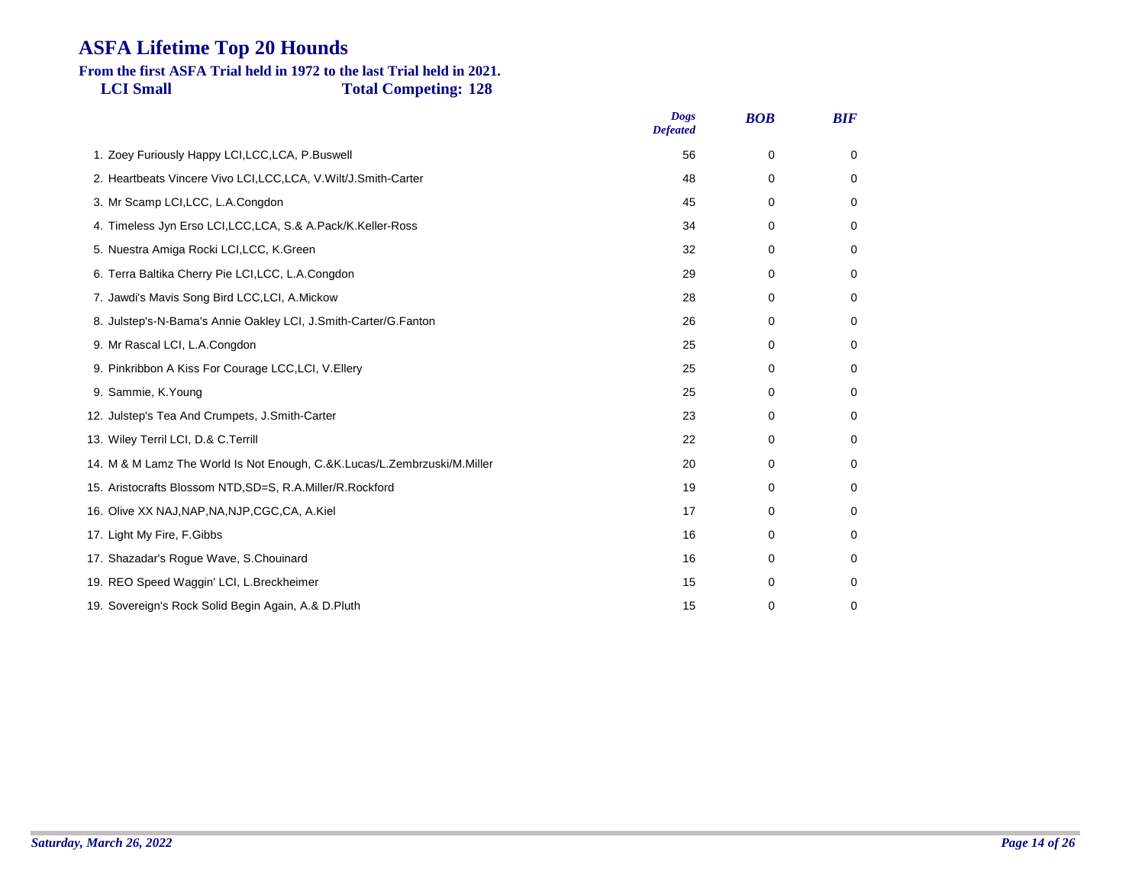# **From the first ASFA Trial held in 1972 to the last Trial held in 2021.**

**LCI Small Total Competing: 128**

|                                                                          | <b>Dogs</b><br><b>Defeated</b> | <b>BOB</b> | <b>BIF</b>  |
|--------------------------------------------------------------------------|--------------------------------|------------|-------------|
| 1. Zoey Furiously Happy LCI, LCC, LCA, P. Buswell                        | 56                             | 0          | $\mathbf 0$ |
| 2. Heartbeats Vincere Vivo LCI, LCC, LCA, V. Wilt/J. Smith-Carter        | 48                             | 0          | $\mathbf 0$ |
| 3. Mr Scamp LCI, LCC, L.A. Congdon                                       | 45                             | 0          | 0           |
| 4. Timeless Jyn Erso LCI, LCC, LCA, S.& A. Pack/K. Keller-Ross           | 34                             | 0          | 0           |
| 5. Nuestra Amiga Rocki LCI, LCC, K. Green                                | 32                             | 0          | 0           |
| 6. Terra Baltika Cherry Pie LCI, LCC, L.A. Congdon                       | 29                             | 0          | 0           |
| 7. Jawdi's Mavis Song Bird LCC, LCI, A. Mickow                           | 28                             | 0          | 0           |
| 8. Julstep's-N-Bama's Annie Oakley LCI, J.Smith-Carter/G.Fanton          | 26                             | 0          | 0           |
| 9. Mr Rascal LCI, L.A.Congdon                                            | 25                             | 0          | 0           |
| 9. Pinkribbon A Kiss For Courage LCC, LCI, V. Ellery                     | 25                             | 0          | $\mathbf 0$ |
| 9. Sammie, K. Young                                                      | 25                             | 0          | 0           |
| 12. Julstep's Tea And Crumpets, J.Smith-Carter                           | 23                             | 0          | $\mathbf 0$ |
| 13. Wiley Terril LCI, D.& C.Terrill                                      | 22                             | 0          | $\mathbf 0$ |
| 14. M & M Lamz The World Is Not Enough, C.&K.Lucas/L.Zembrzuski/M.Miller | 20                             | 0          | $\mathbf 0$ |
| 15. Aristocrafts Blossom NTD, SD=S, R.A.Miller/R.Rockford                | 19                             | 0          | 0           |
| 16. Olive XX NAJ, NAP, NA, NJP, CGC, CA, A. Kiel                         | 17                             | 0          | 0           |
| 17. Light My Fire, F.Gibbs                                               | 16                             | 0          | 0           |
| 17. Shazadar's Rogue Wave, S.Chouinard                                   | 16                             | 0          | 0           |
| 19. REO Speed Waggin' LCI, L. Breckheimer                                | 15                             | 0          | 0           |
| 19. Sovereign's Rock Solid Begin Again, A.& D.Pluth                      | 15                             | 0          | 0           |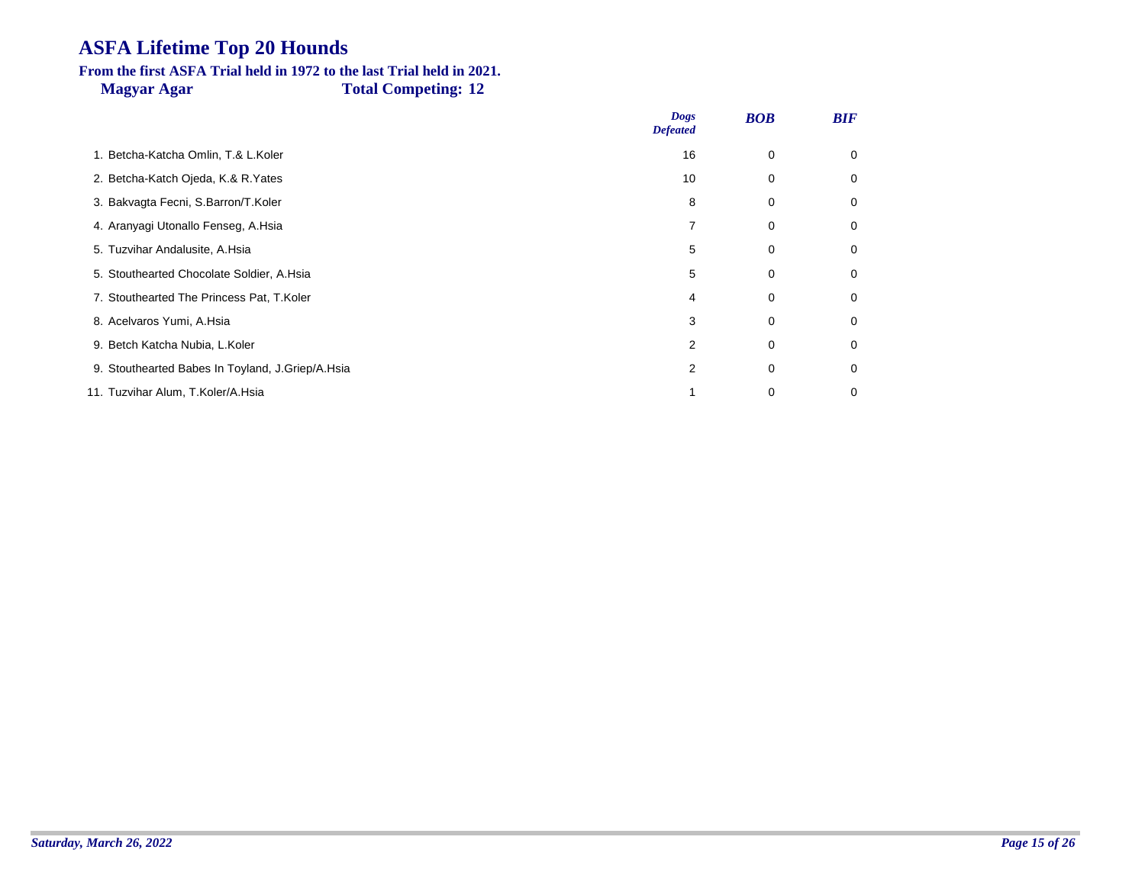# **From the first ASFA Trial held in 1972 to the last Trial held in 2021.**

**Magyar Agar Total Competing: 12**

|                                                  | <b>Dogs</b><br><b>Defeated</b> | <b>BOB</b>  | <b>BIF</b> |
|--------------------------------------------------|--------------------------------|-------------|------------|
| 1. Betcha-Katcha Omlin, T.& L.Koler              | 16                             | 0           | 0          |
| 2. Betcha-Katch Ojeda, K.& R.Yates               | 10                             | 0           | 0          |
| 3. Bakvagta Fecni, S.Barron/T.Koler              | 8                              | 0           | 0          |
| 4. Aranyagi Utonallo Fenseg, A.Hsia              |                                | 0           | 0          |
| 5. Tuzvihar Andalusite, A.Hsia                   | 5                              | 0           | 0          |
| 5. Stouthearted Chocolate Soldier, A.Hsia        | 5                              | $\mathbf 0$ | 0          |
| 7. Stouthearted The Princess Pat, T.Koler        | 4                              | 0           | 0          |
| 8. Acelvaros Yumi, A.Hsia                        | 3                              | 0           | 0          |
| 9. Betch Katcha Nubia, L.Koler                   | 2                              | $\mathbf 0$ | 0          |
| 9. Stouthearted Babes In Toyland, J.Griep/A.Hsia | 2                              | 0           | 0          |
| 11. Tuzvihar Alum, T.Koler/A.Hsia                |                                | 0           | 0          |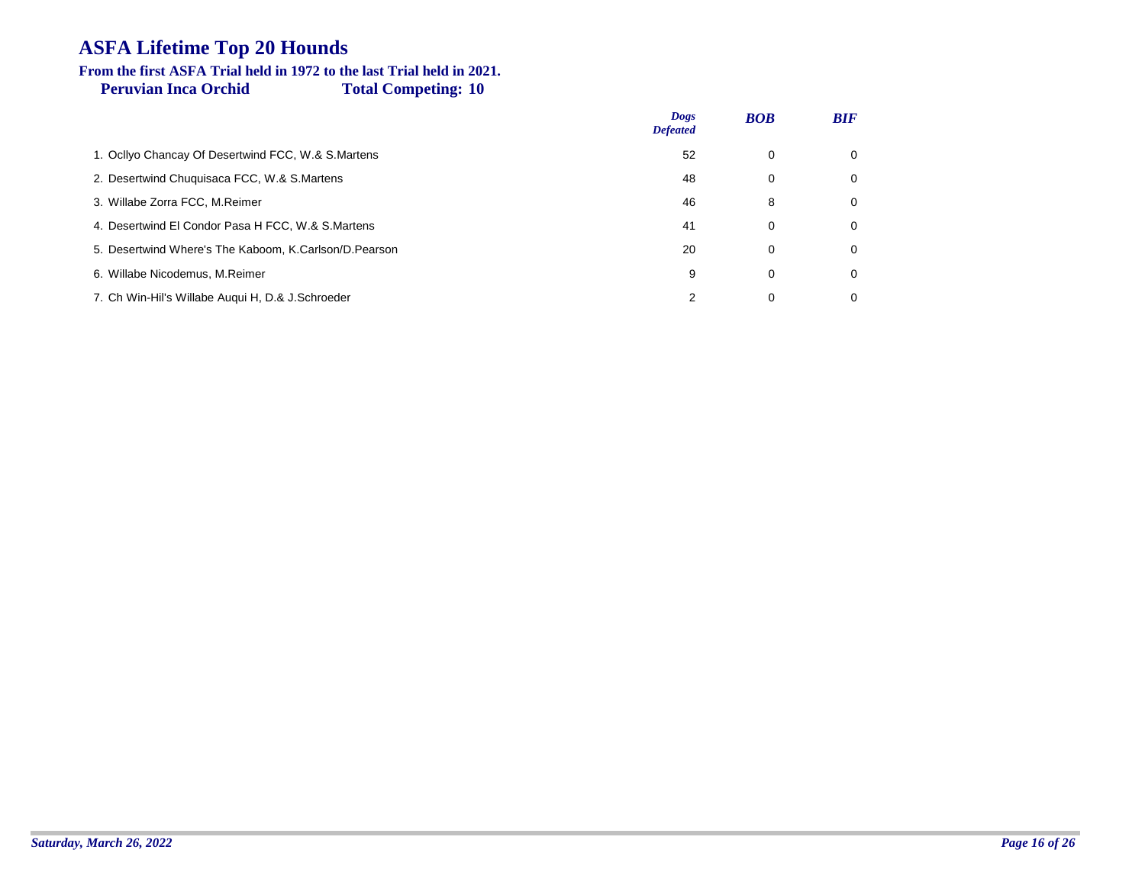#### **Peruvian Inca Orchid Total Competing: 10 From the first ASFA Trial held in 1972 to the last Trial held in 2021.**

|                                                       | <b>Dogs</b><br><b>Defeated</b> | <b>BOB</b> | <b>BIF</b>  |
|-------------------------------------------------------|--------------------------------|------------|-------------|
| 1. Ocllyo Chancay Of Desertwind FCC, W.& S.Martens    | 52                             | 0          | $\Omega$    |
| 2. Desertwind Chuquisaca FCC, W.& S.Martens           | 48                             | 0          | $\mathbf 0$ |
| 3. Willabe Zorra FCC, M.Reimer                        | 46                             | 8          | 0           |
| 4. Desertwind El Condor Pasa H FCC, W.& S.Martens     | 41                             | 0          | $\Omega$    |
| 5. Desertwind Where's The Kaboom, K.Carlson/D.Pearson | 20                             | 0          | 0           |
| 6. Willabe Nicodemus, M.Reimer                        | 9                              | 0          | $\Omega$    |
| 7. Ch Win-Hil's Willabe Augui H, D.& J.Schroeder      | 2                              | 0          | 0           |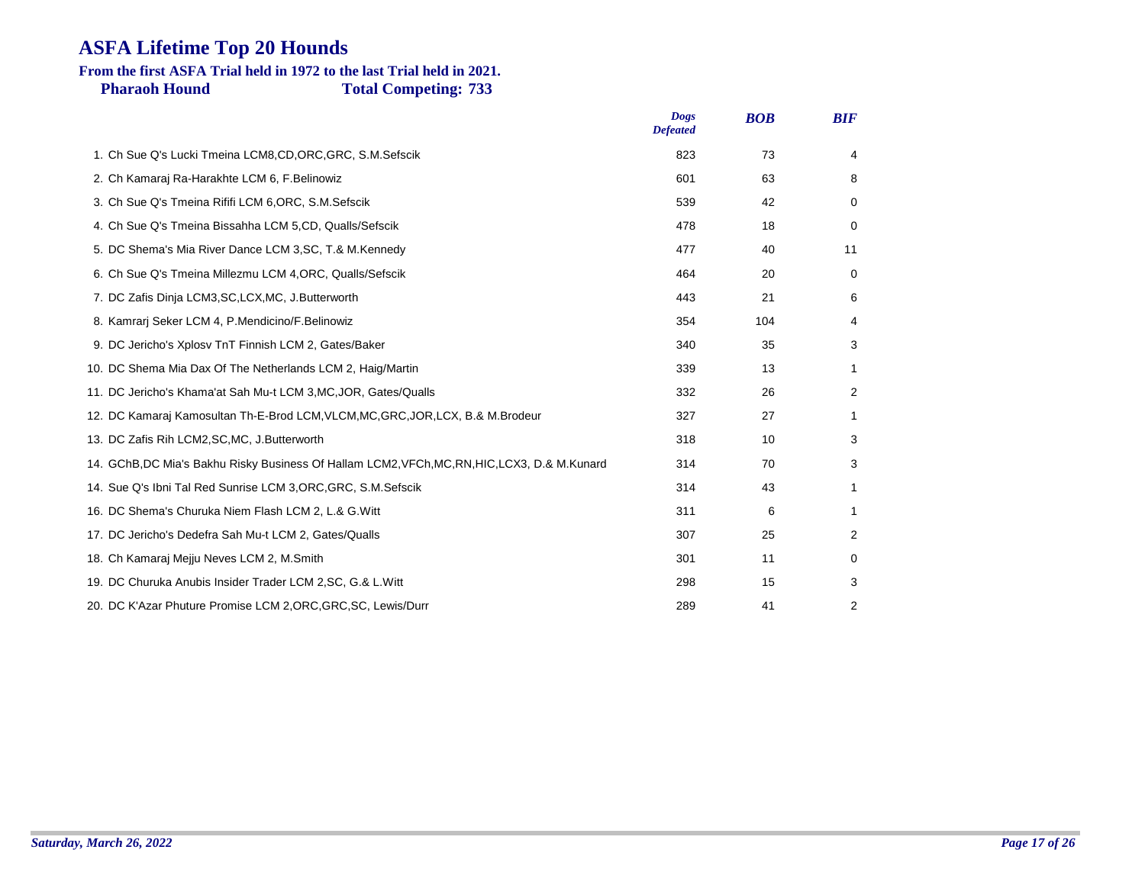#### **Pharaoh Hound Total Competing: 733 From the first ASFA Trial held in 1972 to the last Trial held in 2021.**

|                                                                                                | <b>Dogs</b><br><b>Defeated</b> | <b>BOB</b> | <b>BIF</b> |
|------------------------------------------------------------------------------------------------|--------------------------------|------------|------------|
| 1. Ch Sue Q's Lucki Tmeina LCM8, CD, ORC, GRC, S.M. Sefscik                                    | 823                            | 73         | 4          |
| 2. Ch Kamaraj Ra-Harakhte LCM 6, F.Belinowiz                                                   | 601                            | 63         | 8          |
| 3. Ch Sue Q's Tmeina Rififi LCM 6, ORC, S.M. Sefscik                                           | 539                            | 42         | $\Omega$   |
| 4. Ch Sue Q's Tmeina Bissahha LCM 5, CD, Qualls/Sefscik                                        | 478                            | 18         | 0          |
| 5. DC Shema's Mia River Dance LCM 3, SC, T.& M. Kennedy                                        | 477                            | 40         | 11         |
| 6. Ch Sue Q's Tmeina Millezmu LCM 4, ORC, Qualls/Sefscik                                       | 464                            | 20         | 0          |
| 7. DC Zafis Dinja LCM3, SC, LCX, MC, J. Butterworth                                            | 443                            | 21         | 6          |
| 8. Kamrarj Seker LCM 4, P.Mendicino/F.Belinowiz                                                | 354                            | 104        | 4          |
| 9. DC Jericho's Xplosv TnT Finnish LCM 2, Gates/Baker                                          | 340                            | 35         | 3          |
| 10. DC Shema Mia Dax Of The Netherlands LCM 2, Haig/Martin                                     | 339                            | 13         | 1          |
| 11. DC Jericho's Khama'at Sah Mu-t LCM 3, MC, JOR, Gates/Qualls                                | 332                            | 26         | 2          |
| 12. DC Kamaraj Kamosultan Th-E-Brod LCM, VLCM, MC, GRC, JOR, LCX, B.& M. Brodeur               | 327                            | 27         | 1          |
| 13. DC Zafis Rih LCM2, SC, MC, J. Butterworth                                                  | 318                            | 10         | 3          |
| 14. GChB, DC Mia's Bakhu Risky Business Of Hallam LCM2, VFCh, MC, RN, HIC, LCX3, D.& M. Kunard | 314                            | 70         | 3          |
| 14. Sue Q's Ibni Tal Red Sunrise LCM 3, ORC, GRC, S.M. Sefscik                                 | 314                            | 43         | 1          |
| 16. DC Shema's Churuka Niem Flash LCM 2, L.& G. Witt                                           | 311                            | 6          | 1          |
| 17. DC Jericho's Dedefra Sah Mu-t LCM 2, Gates/Qualls                                          | 307                            | 25         | 2          |
| 18. Ch Kamaraj Mejju Neves LCM 2, M.Smith                                                      | 301                            | 11         | 0          |
| 19. DC Churuka Anubis Insider Trader LCM 2, SC, G.& L. Witt                                    | 298                            | 15         | 3          |
| 20. DC K'Azar Phuture Promise LCM 2, ORC, GRC, SC, Lewis/Durr                                  | 289                            | 41         | 2          |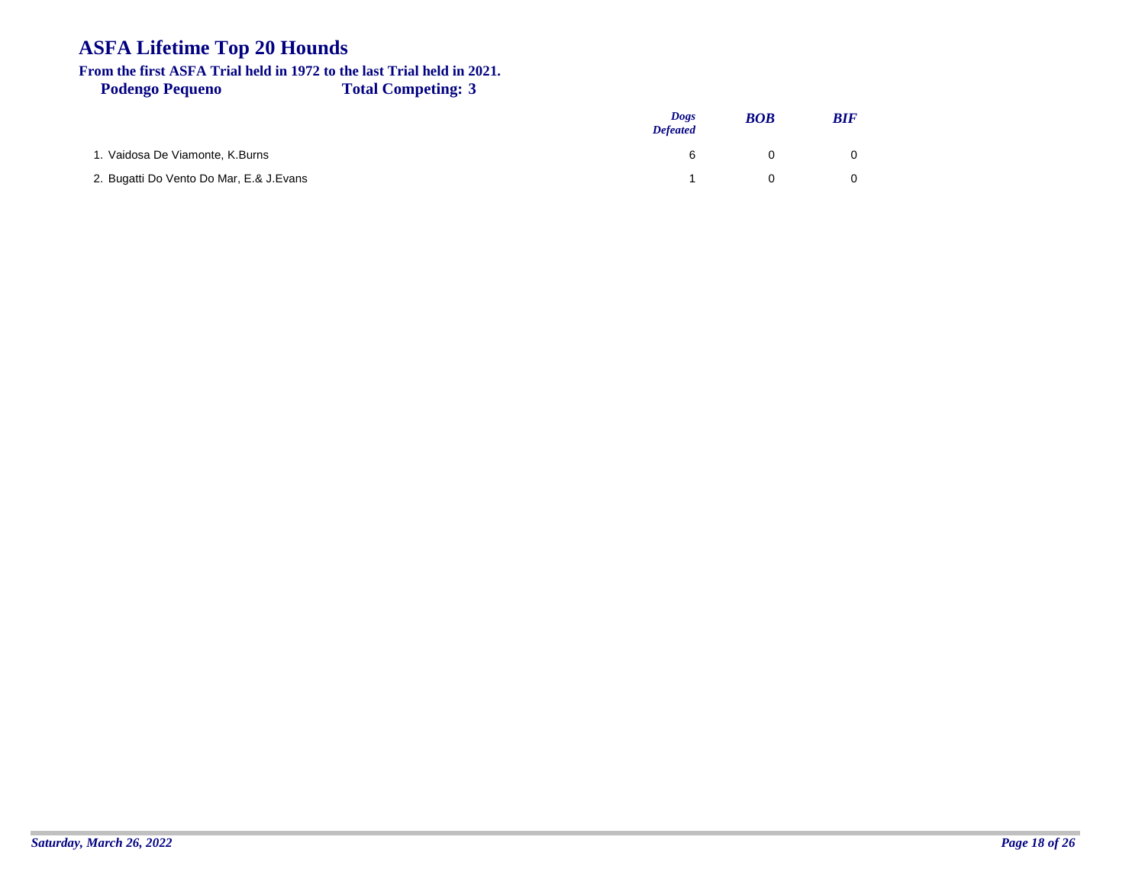# **From the first ASFA Trial held in 1972 to the last Trial held in 2021.**

**Podengo Pequeno Total Competing: 3**

|                                         | <b>Dogs</b><br><b>Defeated</b> | <b>BOB</b> | <b>BIF</b> |
|-----------------------------------------|--------------------------------|------------|------------|
| 1. Vaidosa De Viamonte, K.Burns         | 6                              |            |            |
| 2. Bugatti Do Vento Do Mar, E.& J.Evans |                                |            |            |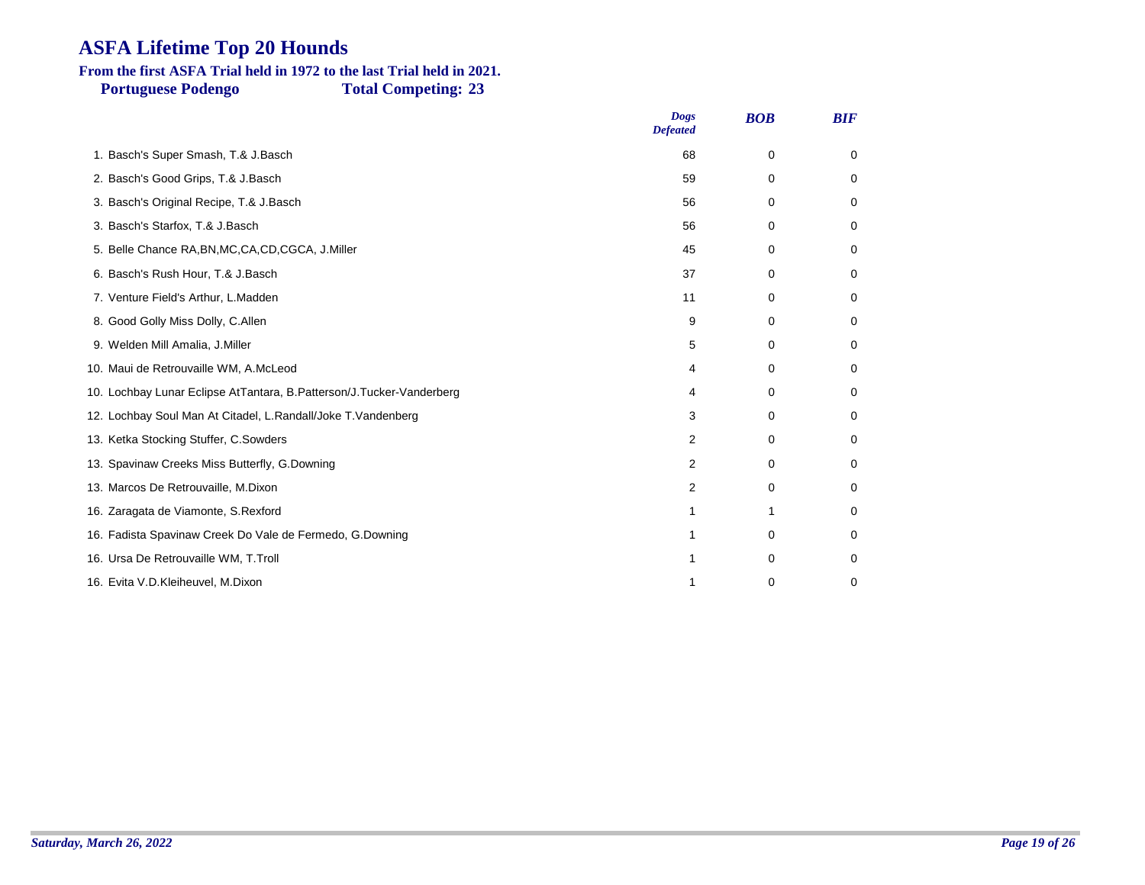### **From the first ASFA Trial held in 1972 to the last Trial held in 2021.**

**Portuguese Podengo Total Competing: 23**

|                                                                      | <b>Dogs</b><br><b>Defeated</b> | <b>BOB</b>  | <b>BIF</b> |
|----------------------------------------------------------------------|--------------------------------|-------------|------------|
| 1. Basch's Super Smash, T.& J.Basch                                  | 68                             | 0           | 0          |
| 2. Basch's Good Grips, T.& J.Basch                                   | 59                             | $\Omega$    | 0          |
| 3. Basch's Original Recipe, T.& J.Basch                              | 56                             | $\mathbf 0$ | 0          |
| 3. Basch's Starfox, T.& J.Basch                                      | 56                             | 0           | 0          |
| 5. Belle Chance RA, BN, MC, CA, CD, CGCA, J. Miller                  | 45                             | $\Omega$    | 0          |
| 6. Basch's Rush Hour, T.& J.Basch                                    | 37                             | 0           | 0          |
| 7. Venture Field's Arthur, L.Madden                                  | 11                             | 0           | 0          |
| 8. Good Golly Miss Dolly, C.Allen                                    | 9                              | $\mathbf 0$ | 0          |
| 9. Welden Mill Amalia, J.Miller                                      | 5                              | 0           | 0          |
| 10. Maui de Retrouvaille WM, A.McLeod                                | 4                              | 0           | 0          |
| 10. Lochbay Lunar Eclipse AtTantara, B.Patterson/J.Tucker-Vanderberg | 4                              | 0           | 0          |
| 12. Lochbay Soul Man At Citadel, L.Randall/Joke T.Vandenberg         | 3                              | $\Omega$    | 0          |
| 13. Ketka Stocking Stuffer, C. Sowders                               | 2                              | $\mathbf 0$ | 0          |
| 13. Spavinaw Creeks Miss Butterfly, G.Downing                        | 2                              | 0           | 0          |
| 13. Marcos De Retrouvaille, M.Dixon                                  | 2                              | 0           | 0          |
| 16. Zaragata de Viamonte, S. Rexford                                 | 1                              | 1           | 0          |
| 16. Fadista Spavinaw Creek Do Vale de Fermedo, G.Downing             | 1                              | $\mathbf 0$ | 0          |
| 16. Ursa De Retrouvaille WM, T.Troll                                 |                                | $\mathbf 0$ | 0          |
| 16. Evita V.D.Kleiheuvel, M.Dixon                                    |                                | $\mathbf 0$ | 0          |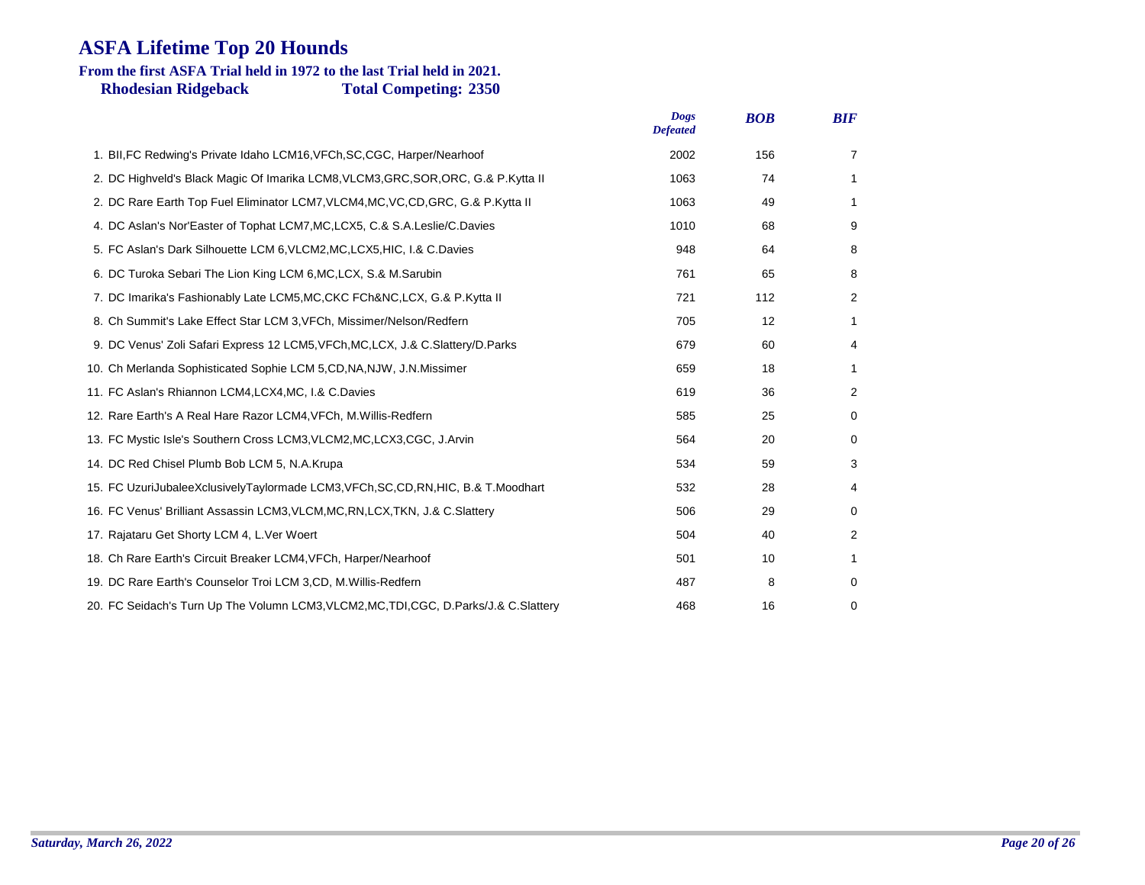### **Rhodesian Ridgeback Total Competing: 2350 From the first ASFA Trial held in 1972 to the last Trial held in 2021.**

|                                                                                         | <b>Dogs</b><br><b>Defeated</b> | <b>BOB</b> | <b>BIF</b>     |
|-----------------------------------------------------------------------------------------|--------------------------------|------------|----------------|
| 1. BII, FC Redwing's Private Idaho LCM16, VFCh, SC, CGC, Harper/Nearhoof                | 2002                           | 156        | $\overline{7}$ |
| 2. DC Highveld's Black Magic Of Imarika LCM8, VLCM3, GRC, SOR, ORC, G.& P.Kytta II      | 1063                           | 74         | 1              |
| 2. DC Rare Earth Top Fuel Eliminator LCM7, VLCM4, MC, VC, CD, GRC, G.& P.Kytta II       | 1063                           | 49         | 1              |
| 4. DC Aslan's Nor'Easter of Tophat LCM7, MC, LCX5, C.& S.A. Leslie/C. Davies            | 1010                           | 68         | 9              |
| 5. FC Aslan's Dark Silhouette LCM 6, VLCM2, MC, LCX5, HIC, I.& C. Davies                | 948                            | 64         | 8              |
| 6. DC Turoka Sebari The Lion King LCM 6, MC, LCX, S.& M. Sarubin                        | 761                            | 65         | 8              |
| 7. DC Imarika's Fashionably Late LCM5, MC, CKC FCh&NC, LCX, G.& P.Kytta II              | 721                            | 112        | 2              |
| 8. Ch Summit's Lake Effect Star LCM 3, VFCh, Missimer/Nelson/Redfern                    | 705                            | 12         | 1              |
| 9. DC Venus' Zoli Safari Express 12 LCM5, VFCh, MC, LCX, J.& C. Slattery/D. Parks       | 679                            | 60         | 4              |
| 10. Ch Merlanda Sophisticated Sophie LCM 5, CD, NA, NJW, J.N. Missimer                  | 659                            | 18         | 1              |
| 11. FC Aslan's Rhiannon LCM4, LCX4, MC, I.& C.Davies                                    | 619                            | 36         | 2              |
| 12. Rare Earth's A Real Hare Razor LCM4, VFCh, M. Willis-Redfern                        | 585                            | 25         | 0              |
| 13. FC Mystic Isle's Southern Cross LCM3, VLCM2, MC, LCX3, CGC, J. Arvin                | 564                            | 20         | 0              |
| 14. DC Red Chisel Plumb Bob LCM 5, N.A.Krupa                                            | 534                            | 59         | 3              |
| 15. FC UzuriJubaleeXclusivelyTaylormade LCM3, VFCh, SC, CD, RN, HIC, B.& T. Moodhart    | 532                            | 28         | 4              |
| 16. FC Venus' Brilliant Assassin LCM3, VLCM, MC, RN, LCX, TKN, J.& C. Slattery          | 506                            | 29         | 0              |
| 17. Rajataru Get Shorty LCM 4, L.Ver Woert                                              | 504                            | 40         | $\overline{2}$ |
| 18. Ch Rare Earth's Circuit Breaker LCM4, VFCh, Harper/Nearhoof                         | 501                            | 10         | 1              |
| 19. DC Rare Earth's Counselor Troi LCM 3, CD, M. Willis-Redfern                         | 487                            | 8          | 0              |
| 20. FC Seidach's Turn Up The Volumn LCM3, VLCM2, MC, TDI, CGC, D. Parks/J.& C. Slattery | 468                            | 16         | 0              |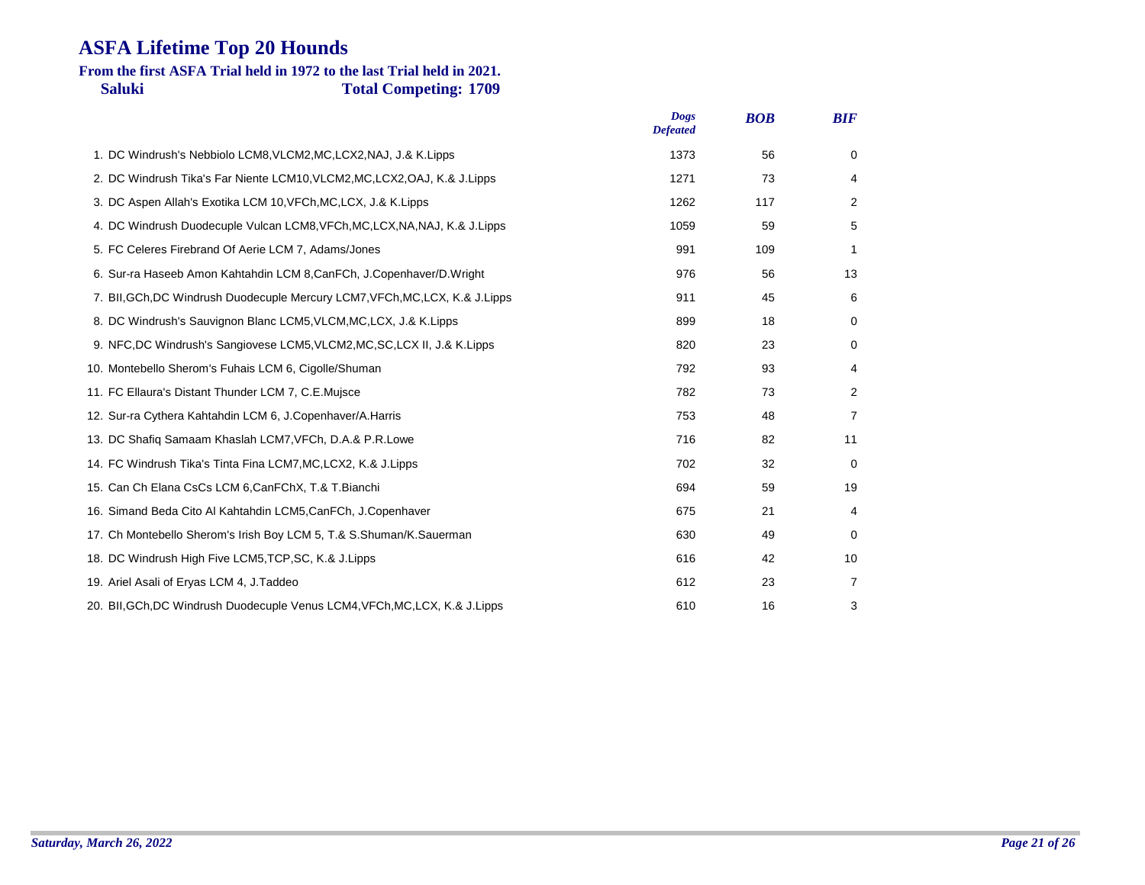### **Saluki Total Competing: 1709 From the first ASFA Trial held in 1972 to the last Trial held in 2021.**

|                                                                               | <b>Dogs</b><br><b>Defeated</b> | <b>BOB</b> | <b>BIF</b>     |
|-------------------------------------------------------------------------------|--------------------------------|------------|----------------|
| 1. DC Windrush's Nebbiolo LCM8, VLCM2, MC, LCX2, NAJ, J.& K. Lipps            | 1373                           | 56         | 0              |
| 2. DC Windrush Tika's Far Niente LCM10, VLCM2, MC, LCX2, OAJ, K.& J. Lipps    | 1271                           | 73         | 4              |
| 3. DC Aspen Allah's Exotika LCM 10, VFCh, MC, LCX, J.& K. Lipps               | 1262                           | 117        | $\overline{2}$ |
| 4. DC Windrush Duodecuple Vulcan LCM8, VFCh, MC, LCX, NA, NAJ, K.& J. Lipps   | 1059                           | 59         | 5              |
| 5. FC Celeres Firebrand Of Aerie LCM 7, Adams/Jones                           | 991                            | 109        | 1              |
| 6. Sur-ra Haseeb Amon Kahtahdin LCM 8, CanFCh, J. Copenhaver/D. Wright        | 976                            | 56         | 13             |
| 7. BII, GCh, DC Windrush Duodecuple Mercury LCM7, VFCh, MC, LCX, K.& J. Lipps | 911                            | 45         | 6              |
| 8. DC Windrush's Sauvignon Blanc LCM5, VLCM, MC, LCX, J.& K. Lipps            | 899                            | 18         | 0              |
| 9. NFC, DC Windrush's Sangiovese LCM5, VLCM2, MC, SC, LCX II, J.& K. Lipps    | 820                            | 23         | 0              |
| 10. Montebello Sherom's Fuhais LCM 6, Cigolle/Shuman                          | 792                            | 93         | 4              |
| 11. FC Ellaura's Distant Thunder LCM 7, C.E.Mujsce                            | 782                            | 73         | 2              |
| 12. Sur-ra Cythera Kahtahdin LCM 6, J.Copenhaver/A.Harris                     | 753                            | 48         | 7              |
| 13. DC Shafiq Samaam Khaslah LCM7, VFCh, D.A.& P.R.Lowe                       | 716                            | 82         | 11             |
| 14. FC Windrush Tika's Tinta Fina LCM7, MC, LCX2, K.& J. Lipps                | 702                            | 32         | 0              |
| 15. Can Ch Elana CsCs LCM 6, CanFChX, T.& T. Bianchi                          | 694                            | 59         | 19             |
| 16. Simand Beda Cito Al Kahtahdin LCM5, CanFCh, J. Copenhaver                 | 675                            | 21         | 4              |
| 17. Ch Montebello Sherom's Irish Boy LCM 5, T.& S.Shuman/K.Sauerman           | 630                            | 49         | 0              |
| 18. DC Windrush High Five LCM5, TCP, SC, K.& J. Lipps                         | 616                            | 42         | 10             |
| 19. Ariel Asali of Eryas LCM 4, J. Taddeo                                     | 612                            | 23         | 7              |
| 20. BII, GCh, DC Windrush Duodecuple Venus LCM4, VFCh, MC, LCX, K.& J. Lipps  | 610                            | 16         | 3              |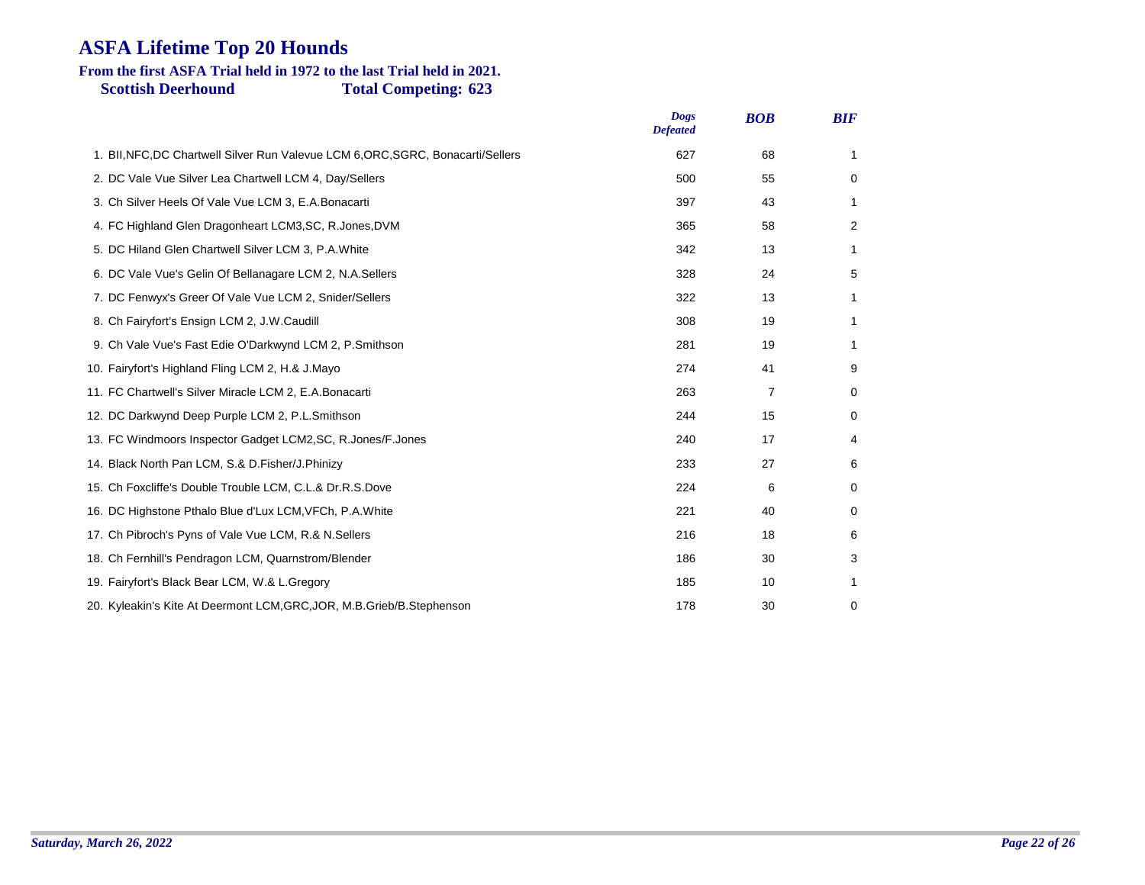#### **Scottish Deerhound Total Competing: 623 From the first ASFA Trial held in 1972 to the last Trial held in 2021.**

|                                                                                  | <b>Dogs</b><br><b>Defeated</b> | <b>BOB</b>     | <b>BIF</b> |
|----------------------------------------------------------------------------------|--------------------------------|----------------|------------|
| 1. BII, NFC, DC Chartwell Silver Run Valevue LCM 6, ORC, SGRC, Bonacarti/Sellers | 627                            | 68             | 1          |
| 2. DC Vale Vue Silver Lea Chartwell LCM 4, Day/Sellers                           | 500                            | 55             | 0          |
| 3. Ch Silver Heels Of Vale Vue LCM 3, E.A. Bonacarti                             | 397                            | 43             | 1          |
| 4. FC Highland Glen Dragonheart LCM3, SC, R. Jones, DVM                          | 365                            | 58             | 2          |
| 5. DC Hiland Glen Chartwell Silver LCM 3, P.A. White                             | 342                            | 13             | 1          |
| 6. DC Vale Vue's Gelin Of Bellanagare LCM 2, N.A. Sellers                        | 328                            | 24             | 5          |
| 7. DC Fenwyx's Greer Of Vale Vue LCM 2, Snider/Sellers                           | 322                            | 13             | 1          |
| 8. Ch Fairyfort's Ensign LCM 2, J.W.Caudill                                      | 308                            | 19             | 1          |
| 9. Ch Vale Vue's Fast Edie O'Darkwynd LCM 2, P.Smithson                          | 281                            | 19             | 1          |
| 10. Fairyfort's Highland Fling LCM 2, H.& J.Mayo                                 | 274                            | 41             | 9          |
| 11. FC Chartwell's Silver Miracle LCM 2, E.A.Bonacarti                           | 263                            | $\overline{7}$ | 0          |
| 12. DC Darkwynd Deep Purple LCM 2, P.L.Smithson                                  | 244                            | 15             | 0          |
| 13. FC Windmoors Inspector Gadget LCM2, SC, R. Jones/F. Jones                    | 240                            | 17             | 4          |
| 14. Black North Pan LCM, S.& D. Fisher/J. Phinizy                                | 233                            | 27             | 6          |
| 15. Ch Foxcliffe's Double Trouble LCM, C.L.& Dr.R.S.Dove                         | 224                            | 6              | 0          |
| 16. DC Highstone Pthalo Blue d'Lux LCM, VFCh, P.A. White                         | 221                            | 40             | 0          |
| 17. Ch Pibroch's Pyns of Vale Vue LCM, R.& N. Sellers                            | 216                            | 18             | 6          |
| 18. Ch Fernhill's Pendragon LCM, Quarnstrom/Blender                              | 186                            | 30             | 3          |
| 19. Fairyfort's Black Bear LCM, W.& L.Gregory                                    | 185                            | 10             | 1          |
| 20. Kyleakin's Kite At Deermont LCM, GRC, JOR, M.B. Grieb/B. Stephenson          | 178                            | 30             | 0          |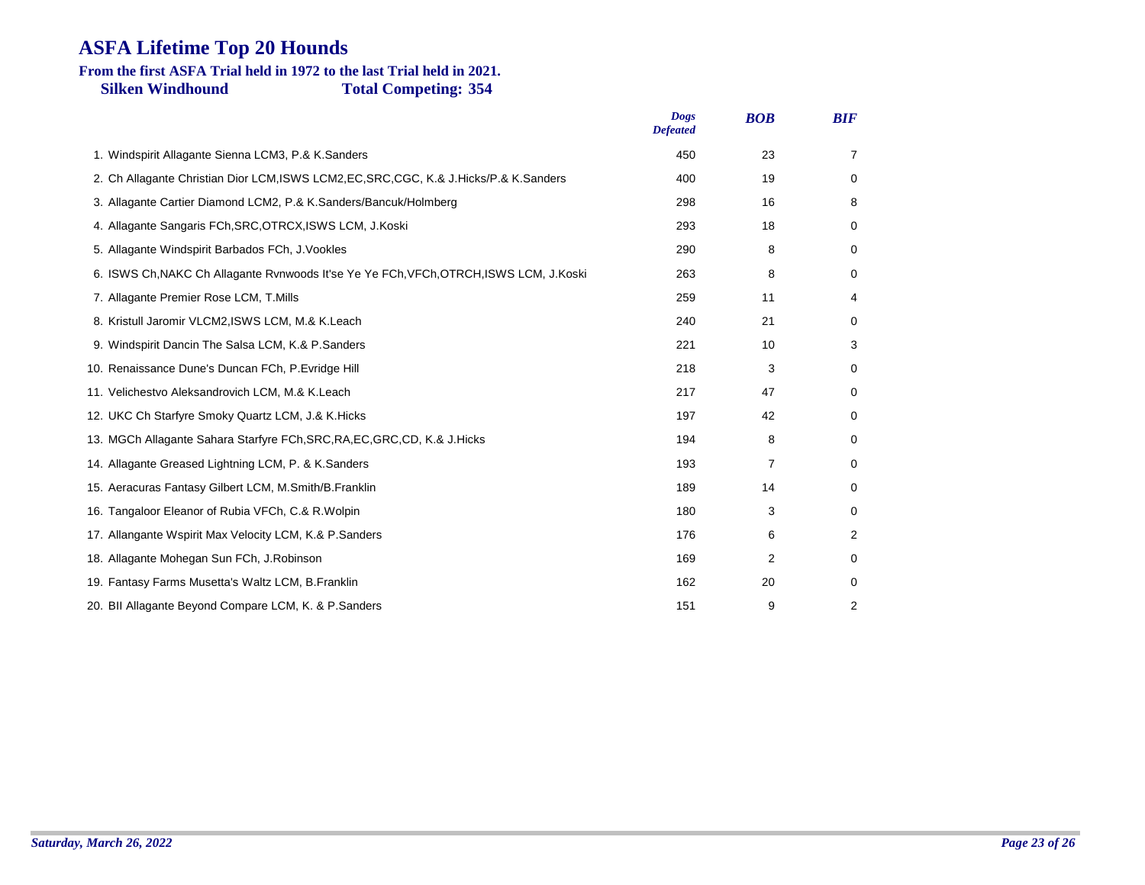# **From the first ASFA Trial held in 1972 to the last Trial held in 2021.**

**Silken Windhound Total Competing: 354**

|                                                                                          | <b>Dogs</b><br><b>Defeated</b> | <b>BOB</b> | <b>BIF</b> |
|------------------------------------------------------------------------------------------|--------------------------------|------------|------------|
| 1. Windspirit Allagante Sienna LCM3, P.& K.Sanders                                       | 450                            | 23         | 7          |
| 2. Ch Allagante Christian Dior LCM, ISWS LCM2, EC, SRC, CGC, K.& J. Hicks/P.& K. Sanders | 400                            | 19         | 0          |
| 3. Allagante Cartier Diamond LCM2, P.& K.Sanders/Bancuk/Holmberg                         | 298                            | 16         | 8          |
| 4. Allagante Sangaris FCh, SRC, OTRCX, ISWS LCM, J. Koski                                | 293                            | 18         | 0          |
| 5. Allagante Windspirit Barbados FCh, J.Vookles                                          | 290                            | 8          | 0          |
| 6. ISWS Ch, NAKC Ch Allagante Rvnwoods It'se Ye Ye FCh, VFCh, OTRCH, ISWS LCM, J.Koski   | 263                            | 8          | 0          |
| 7. Allagante Premier Rose LCM, T.Mills                                                   | 259                            | 11         | 4          |
| 8. Kristull Jaromir VLCM2, ISWS LCM, M.& K.Leach                                         | 240                            | 21         | 0          |
| 9. Windspirit Dancin The Salsa LCM, K.& P.Sanders                                        | 221                            | 10         | 3          |
| 10. Renaissance Dune's Duncan FCh, P.Evridge Hill                                        | 218                            | 3          | 0          |
| 11. Velichestvo Aleksandrovich LCM, M.& K.Leach                                          | 217                            | 47         | 0          |
| 12. UKC Ch Starfyre Smoky Quartz LCM, J.& K. Hicks                                       | 197                            | 42         | 0          |
| 13. MGCh Allagante Sahara Starfyre FCh, SRC, RA, EC, GRC, CD, K.& J. Hicks               | 194                            | 8          | 0          |
| 14. Allagante Greased Lightning LCM, P. & K. Sanders                                     | 193                            | 7          | 0          |
| 15. Aeracuras Fantasy Gilbert LCM, M.Smith/B.Franklin                                    | 189                            | 14         | 0          |
| 16. Tangaloor Eleanor of Rubia VFCh, C.& R. Wolpin                                       | 180                            | 3          | 0          |
| 17. Allangante Wspirit Max Velocity LCM, K.& P.Sanders                                   | 176                            | 6          | 2          |
| 18. Allagante Mohegan Sun FCh, J.Robinson                                                | 169                            | 2          | 0          |
| 19. Fantasy Farms Musetta's Waltz LCM, B.Franklin                                        | 162                            | 20         | 0          |
| 20. Bll Allagante Beyond Compare LCM, K. & P. Sanders                                    | 151                            | 9          | 2          |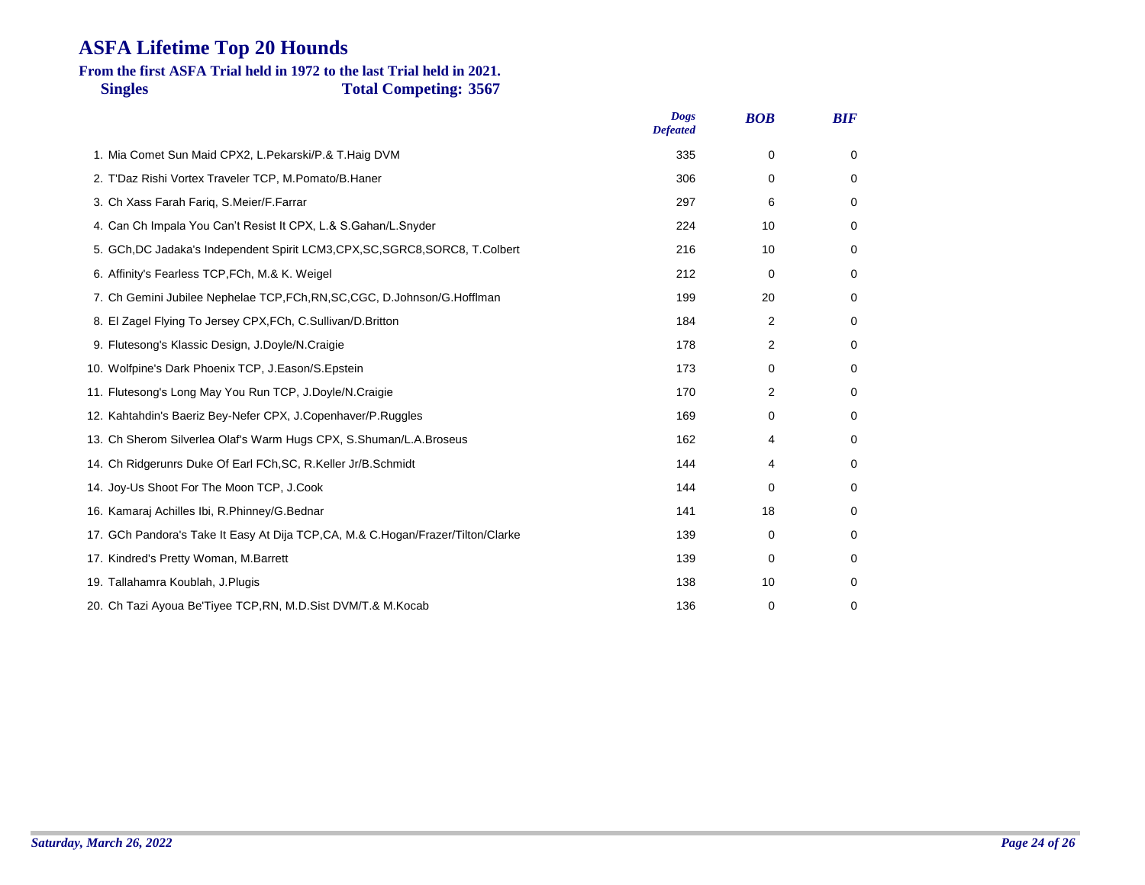### **Singles Total Competing: 3567 From the first ASFA Trial held in 1972 to the last Trial held in 2021.**

| <b>Dogs</b><br><b>Defeated</b> | <b>BOB</b>  | <b>BIF</b> |
|--------------------------------|-------------|------------|
| 335                            | $\Omega$    | 0          |
| 306                            | $\Omega$    | 0          |
| 297                            | 6           | 0          |
| 224                            | 10          | 0          |
| 216                            | 10          | 0          |
| 212                            | 0           | 0          |
| 199                            | 20          | 0          |
| 184                            | 2           | 0          |
| 178                            | 2           | 0          |
| 173                            | 0           | 0          |
| 170                            | 2           | 0          |
| 169                            | 0           | 0          |
| 162                            | 4           | 0          |
| 144                            | 4           | 0          |
| 144                            | $\Omega$    | 0          |
| 141                            | 18          | 0          |
| 139                            | 0           | 0          |
| 139                            | 0           | 0          |
| 138                            | 10          | 0          |
| 136                            | $\mathbf 0$ | 0          |
|                                |             |            |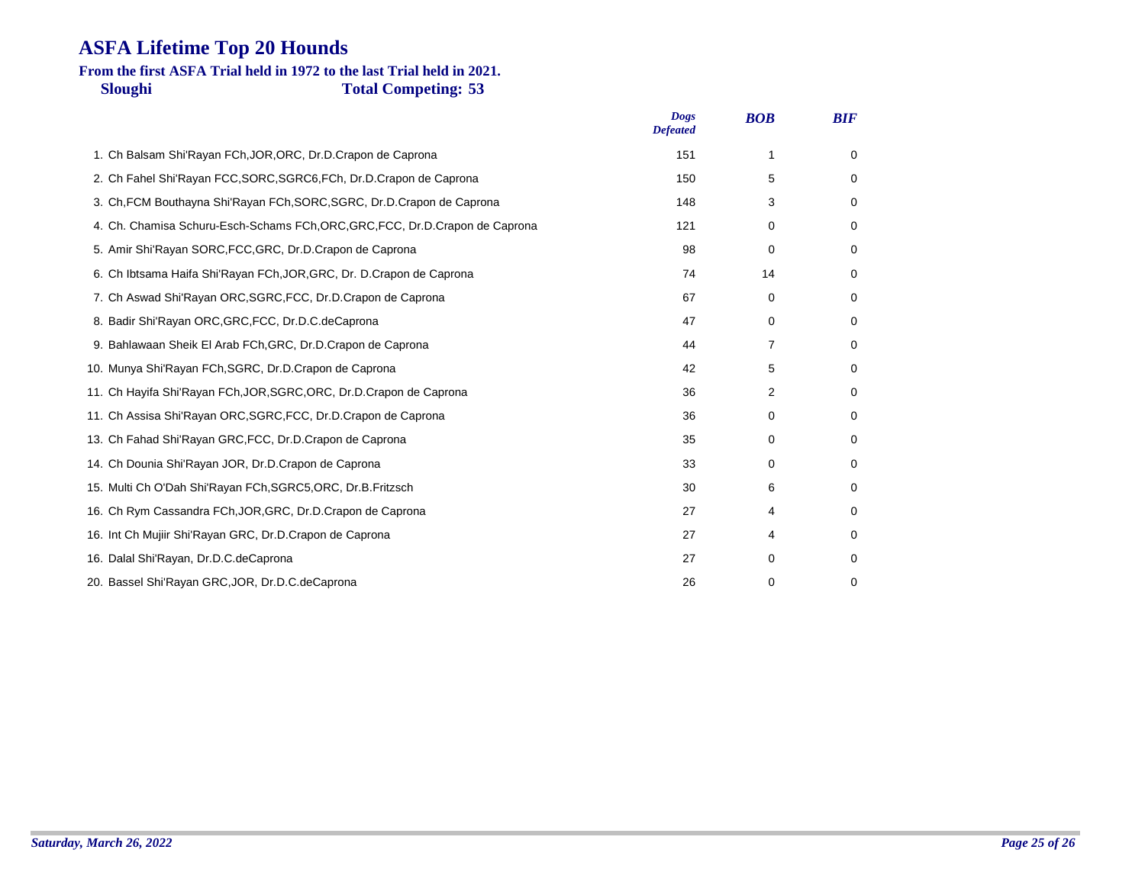### **Sloughi Total Competing: 53 From the first ASFA Trial held in 1972 to the last Trial held in 2021.**

|                                                                           | <b>Dogs</b><br><b>Defeated</b> | <b>BOB</b>  | <b>BIF</b>  |
|---------------------------------------------------------------------------|--------------------------------|-------------|-------------|
| 1. Ch Balsam Shi'Rayan FCh, JOR, ORC, Dr.D. Crapon de Caprona             | 151                            | 1           | 0           |
| 2. Ch Fahel Shi'Rayan FCC, SORC, SGRC6, FCh, Dr.D. Crapon de Caprona      | 150                            | 5           | 0           |
| 3. Ch, FCM Bouthayna Shi'Rayan FCh, SORC, SGRC, Dr.D.Crapon de Caprona    | 148                            | 3           | 0           |
| 4. Ch. Chamisa Schuru-Esch-Schams FCh,ORC,GRC,FCC, Dr.D.Crapon de Caprona | 121                            | $\mathbf 0$ | 0           |
| 5. Amir Shi'Rayan SORC, FCC, GRC, Dr.D. Crapon de Caprona                 | 98                             | 0           | 0           |
| 6. Ch Ibtsama Haifa Shi'Rayan FCh, JOR, GRC, Dr. D. Crapon de Caprona     | 74                             | 14          | 0           |
| 7. Ch Aswad Shi'Rayan ORC, SGRC, FCC, Dr.D. Crapon de Caprona             | 67                             | 0           | 0           |
| 8. Badir Shi'Rayan ORC, GRC, FCC, Dr.D.C. de Caprona                      | 47                             | $\mathbf 0$ | 0           |
| 9. Bahlawaan Sheik El Arab FCh, GRC, Dr.D. Crapon de Caprona              | 44                             | 7           | 0           |
| 10. Munya Shi'Rayan FCh, SGRC, Dr.D.Crapon de Caprona                     | 42                             | 5           | 0           |
| 11. Ch Hayifa Shi'Rayan FCh, JOR, SGRC, ORC, Dr.D. Crapon de Caprona      | 36                             | 2           | 0           |
| 11. Ch Assisa Shi'Rayan ORC, SGRC, FCC, Dr.D. Crapon de Caprona           | 36                             | 0           | 0           |
| 13. Ch Fahad Shi'Rayan GRC, FCC, Dr.D.Crapon de Caprona                   | 35                             | $\mathbf 0$ | 0           |
| 14. Ch Dounia Shi'Rayan JOR, Dr.D.Crapon de Caprona                       | 33                             | $\Omega$    | 0           |
| 15. Multi Ch O'Dah Shi'Rayan FCh, SGRC5, ORC, Dr.B. Fritzsch              | 30                             | 6           | 0           |
| 16. Ch Rym Cassandra FCh, JOR, GRC, Dr.D. Crapon de Caprona               | 27                             | 4           | 0           |
| 16. Int Ch Mujiir Shi'Rayan GRC, Dr.D.Crapon de Caprona                   | 27                             | 4           | 0           |
| 16. Dalal Shi'Rayan, Dr.D.C.deCaprona                                     | 27                             | $\Omega$    | 0           |
| 20. Bassel Shi'Rayan GRC, JOR, Dr.D.C. de Caprona                         | 26                             | $\mathbf 0$ | $\mathbf 0$ |